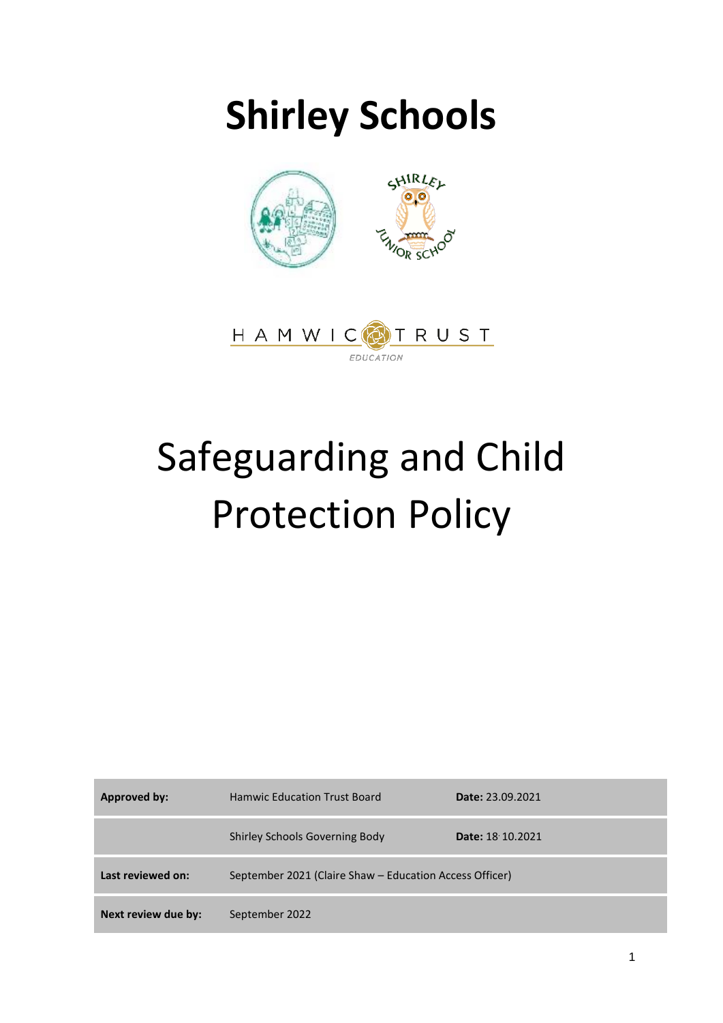# **Shirley Schools**



# Safeguarding and Child Protection Policy

| Approved by:        | <b>Hamwic Education Trust Board</b>                     | <b>Date: 23.09.2021</b> |
|---------------------|---------------------------------------------------------|-------------------------|
|                     | <b>Shirley Schools Governing Body</b>                   | <b>Date: 18 10.2021</b> |
| Last reviewed on:   | September 2021 (Claire Shaw – Education Access Officer) |                         |
| Next review due by: | September 2022                                          |                         |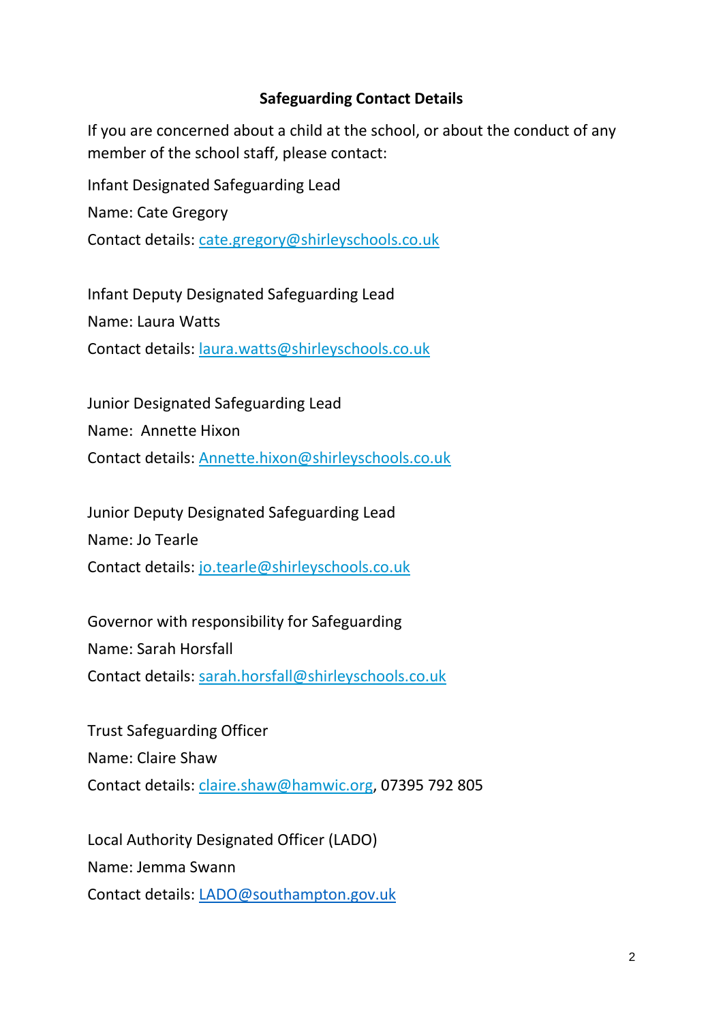#### **Safeguarding Contact Details**

If you are concerned about a child at the school, or about the conduct of any member of the school staff, please contact:

Infant Designated Safeguarding Lead

Name: Cate Gregory

Contact details: [cate.gregory@shirleyschools.co.uk](mailto:cate.gregory@shirleyschools.co.uk)

Infant Deputy Designated Safeguarding Lead Name: Laura Watts Contact details: [laura.watts@shirleyschools.co.uk](mailto:laura.watts@shirleyschools.co.uk)

Junior Designated Safeguarding Lead Name: Annette Hixon Contact details: [Annette.hixon@shirleyschools.co.uk](mailto:Annette.hixon@shirleyschools.co.uk)

Junior Deputy Designated Safeguarding Lead Name: Jo Tearle Contact details: [jo.tearle@shirleyschools.co.uk](mailto:jo.tearle@shirleyschools.co.uk)

Governor with responsibility for Safeguarding Name: Sarah Horsfall Contact details: [sarah.horsfall@shirleyschools.co.uk](mailto:sarah.horsfall@shirleyschools.co.uk)

Trust Safeguarding Officer Name: Claire Shaw Contact details: [claire.shaw@hamwic.org,](mailto:claire.shaw@hamwic.org) 07395 792 805

Local Authority Designated Officer (LADO) Name: Jemma Swann Contact details: [LADO@southampton.gov.uk](mailto:LADO@southampton.gov.uk)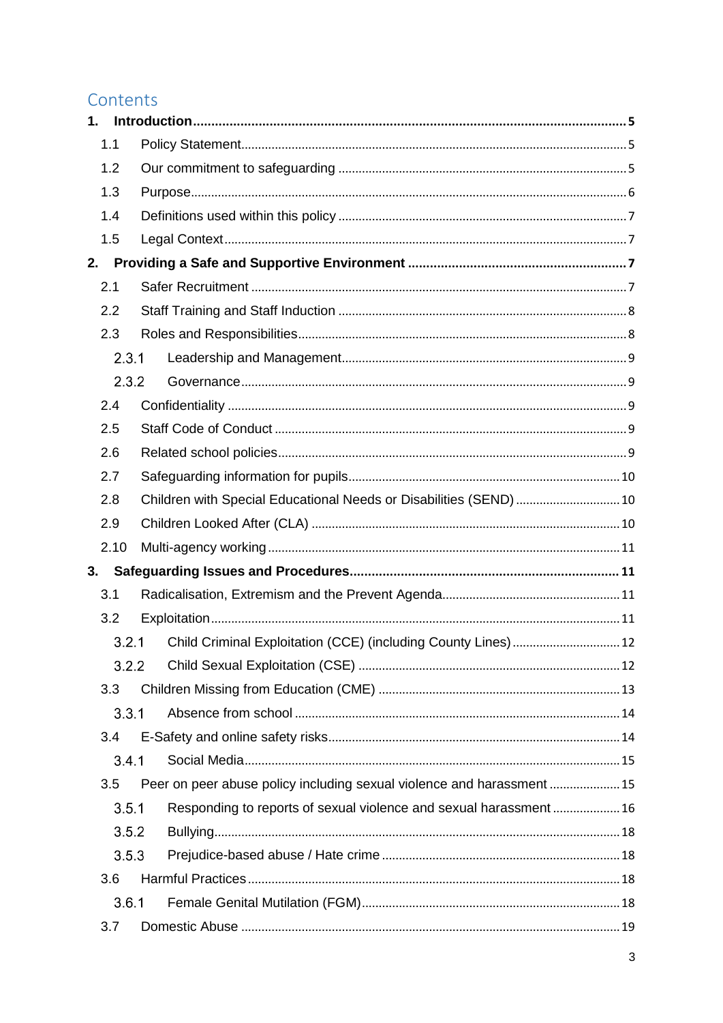# Contents

| 1.  |       |  |                                                                        |  |
|-----|-------|--|------------------------------------------------------------------------|--|
|     | 1.1   |  |                                                                        |  |
|     | 1.2   |  |                                                                        |  |
|     | 1.3   |  |                                                                        |  |
|     | 1.4   |  |                                                                        |  |
|     | 1.5   |  |                                                                        |  |
| 2.  |       |  |                                                                        |  |
|     | 2.1   |  |                                                                        |  |
| 2.2 |       |  |                                                                        |  |
|     | 2.3   |  |                                                                        |  |
|     | 2.3.1 |  |                                                                        |  |
|     | 2.3.2 |  |                                                                        |  |
|     | 2.4   |  |                                                                        |  |
|     | 2.5   |  |                                                                        |  |
|     | 2.6   |  |                                                                        |  |
|     | 2.7   |  |                                                                        |  |
|     | 2.8   |  | Children with Special Educational Needs or Disabilities (SEND)  10     |  |
|     | 2.9   |  |                                                                        |  |
|     | 2.10  |  |                                                                        |  |
| 3.  |       |  |                                                                        |  |
|     | 3.1   |  |                                                                        |  |
|     | 3.2   |  |                                                                        |  |
|     | 3.2.1 |  |                                                                        |  |
|     | 3.2.2 |  |                                                                        |  |
|     | 3.3   |  |                                                                        |  |
|     | 3.3.1 |  |                                                                        |  |
|     | 3.4   |  |                                                                        |  |
|     | 3.4.1 |  |                                                                        |  |
|     | 3.5   |  | Peer on peer abuse policy including sexual violence and harassment  15 |  |
|     | 3.5.1 |  | Responding to reports of sexual violence and sexual harassment 16      |  |
|     | 3.5.2 |  |                                                                        |  |
|     | 3.5.3 |  |                                                                        |  |
|     | 3.6   |  |                                                                        |  |
|     | 3.6.1 |  |                                                                        |  |
|     | 3.7   |  |                                                                        |  |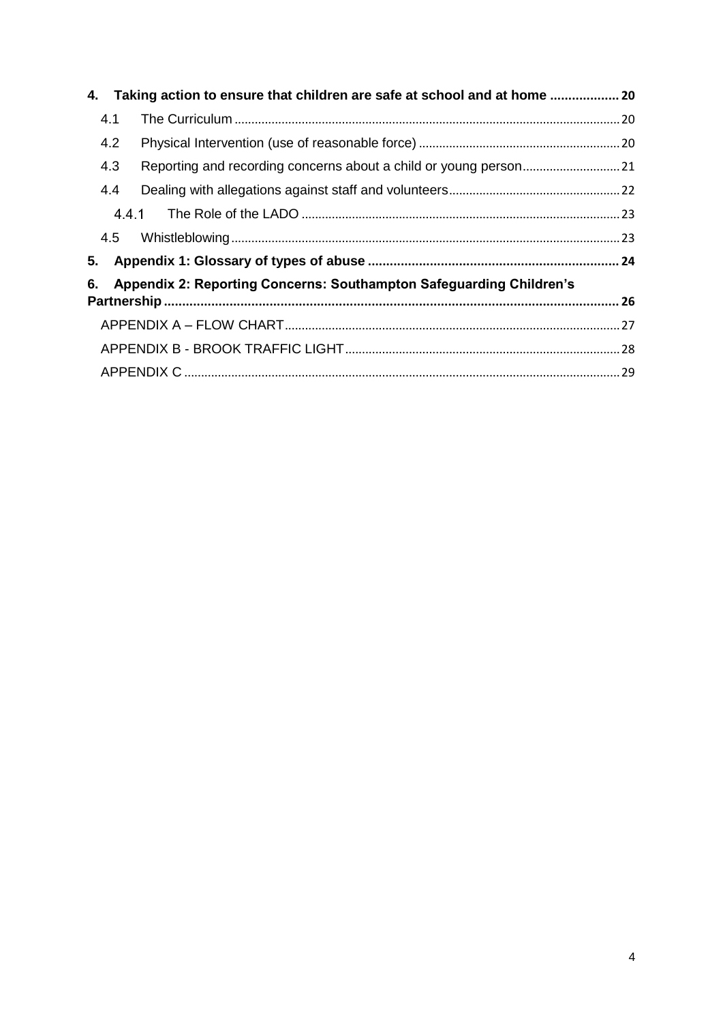| 4.  | Taking action to ensure that children are safe at school and at home  20 |  |
|-----|--------------------------------------------------------------------------|--|
| 4.1 |                                                                          |  |
| 4.2 |                                                                          |  |
| 4.3 |                                                                          |  |
| 4.4 |                                                                          |  |
|     |                                                                          |  |
| 4.5 |                                                                          |  |
| 5.  |                                                                          |  |
| 6.  | Appendix 2: Reporting Concerns: Southampton Safeguarding Children's      |  |
|     |                                                                          |  |
|     |                                                                          |  |
|     |                                                                          |  |
|     |                                                                          |  |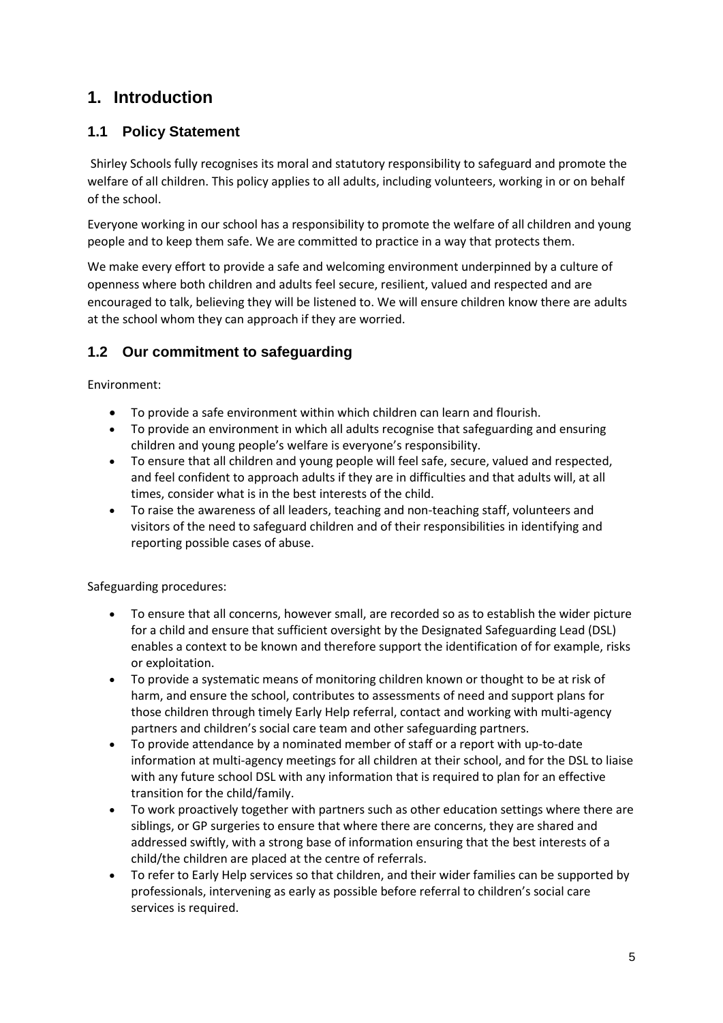# <span id="page-4-0"></span>**1. Introduction**

#### <span id="page-4-1"></span>**1.1 Policy Statement**

Shirley Schools fully recognises its moral and statutory responsibility to safeguard and promote the welfare of all children. This policy applies to all adults, including volunteers, working in or on behalf of the school.

Everyone working in our school has a responsibility to promote the welfare of all children and young people and to keep them safe. We are committed to practice in a way that protects them.

We make every effort to provide a safe and welcoming environment underpinned by a culture of openness where both children and adults feel secure, resilient, valued and respected and are encouraged to talk, believing they will be listened to. We will ensure children know there are adults at the school whom they can approach if they are worried.

### <span id="page-4-2"></span>**1.2 Our commitment to safeguarding**

Environment:

- To provide a safe environment within which children can learn and flourish.
- To provide an environment in which all adults recognise that safeguarding and ensuring children and young people's welfare is everyone's responsibility.
- To ensure that all children and young people will feel safe, secure, valued and respected, and feel confident to approach adults if they are in difficulties and that adults will, at all times, consider what is in the best interests of the child.
- To raise the awareness of all leaders, teaching and non-teaching staff, volunteers and visitors of the need to safeguard children and of their responsibilities in identifying and reporting possible cases of abuse.

Safeguarding procedures:

- To ensure that all concerns, however small, are recorded so as to establish the wider picture for a child and ensure that sufficient oversight by the Designated Safeguarding Lead (DSL) enables a context to be known and therefore support the identification of for example, risks or exploitation.
- To provide a systematic means of monitoring children known or thought to be at risk of harm, and ensure the school, contributes to assessments of need and support plans for those children through timely Early Help referral, contact and working with multi-agency partners and children's social care team and other safeguarding partners.
- To provide attendance by a nominated member of staff or a report with up-to-date information at multi-agency meetings for all children at their school, and for the DSL to liaise with any future school DSL with any information that is required to plan for an effective transition for the child/family.
- To work proactively together with partners such as other education settings where there are siblings, or GP surgeries to ensure that where there are concerns, they are shared and addressed swiftly, with a strong base of information ensuring that the best interests of a child/the children are placed at the centre of referrals.
- To refer to Early Help services so that children, and their wider families can be supported by professionals, intervening as early as possible before referral to children's social care services is required.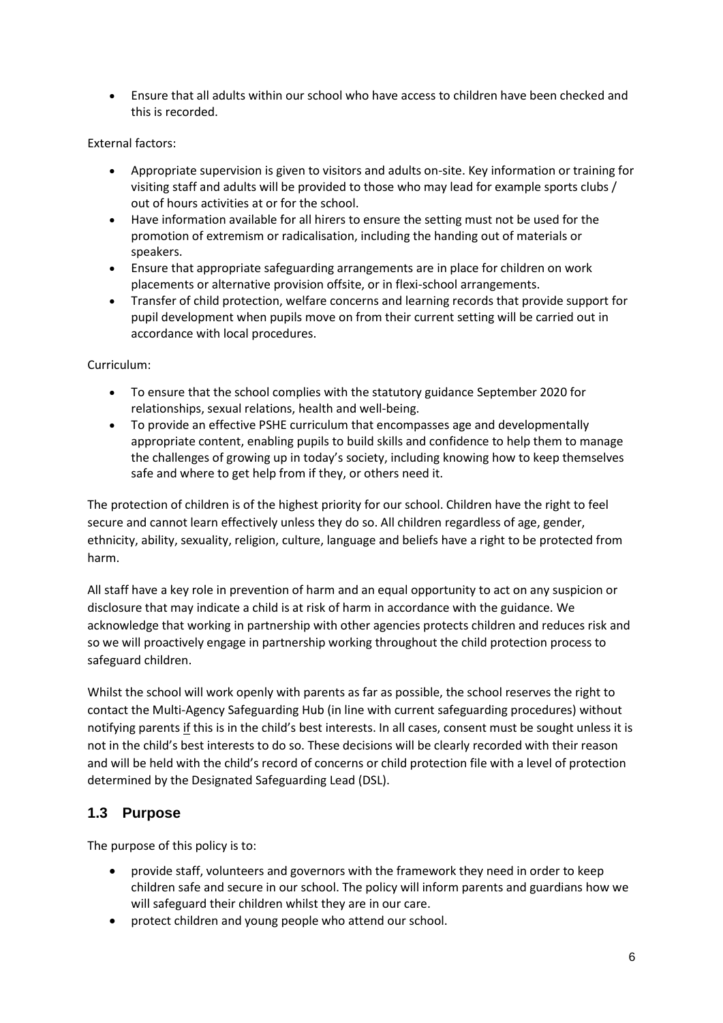Ensure that all adults within our school who have access to children have been checked and this is recorded.

#### External factors:

- Appropriate supervision is given to visitors and adults on-site. Key information or training for visiting staff and adults will be provided to those who may lead for example sports clubs / out of hours activities at or for the school.
- Have information available for all hirers to ensure the setting must not be used for the promotion of extremism or radicalisation, including the handing out of materials or speakers.
- Ensure that appropriate safeguarding arrangements are in place for children on work placements or alternative provision offsite, or in flexi-school arrangements.
- Transfer of child protection, welfare concerns and learning records that provide support for pupil development when pupils move on from their current setting will be carried out in accordance with local procedures.

#### Curriculum:

- To ensure that the school complies with the statutory guidance September 2020 for relationships, sexual relations, health and well-being.
- To provide an effective PSHE curriculum that encompasses age and developmentally appropriate content, enabling pupils to build skills and confidence to help them to manage the challenges of growing up in today's society, including knowing how to keep themselves safe and where to get help from if they, or others need it.

The protection of children is of the highest priority for our school. Children have the right to feel secure and cannot learn effectively unless they do so. All children regardless of age, gender, ethnicity, ability, sexuality, religion, culture, language and beliefs have a right to be protected from harm.

All staff have a key role in prevention of harm and an equal opportunity to act on any suspicion or disclosure that may indicate a child is at risk of harm in accordance with the guidance. We acknowledge that working in partnership with other agencies protects children and reduces risk and so we will proactively engage in partnership working throughout the child protection process to safeguard children.

Whilst the school will work openly with parents as far as possible, the school reserves the right to contact the Multi-Agency Safeguarding Hub (in line with current safeguarding procedures) without notifying parents if this is in the child's best interests. In all cases, consent must be sought unless it is not in the child's best interests to do so. These decisions will be clearly recorded with their reason and will be held with the child's record of concerns or child protection file with a level of protection determined by the Designated Safeguarding Lead (DSL).

#### <span id="page-5-0"></span>**1.3 Purpose**

The purpose of this policy is to:

- provide staff, volunteers and governors with the framework they need in order to keep children safe and secure in our school. The policy will inform parents and guardians how we will safeguard their children whilst they are in our care.
- protect children and young people who attend our school.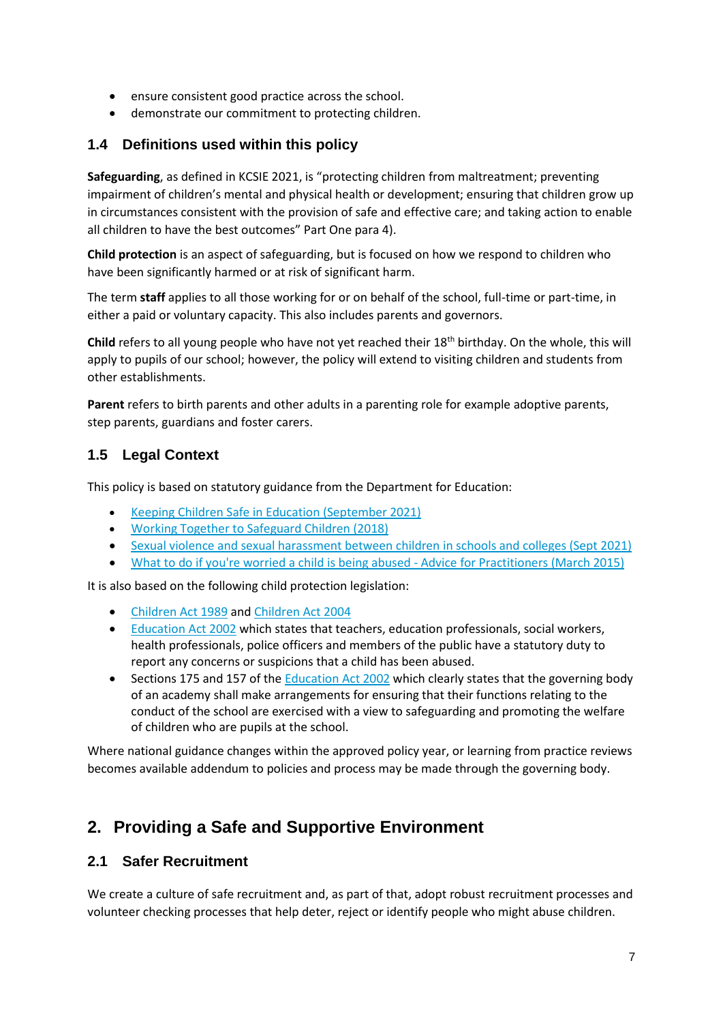- ensure consistent good practice across the school.
- demonstrate our commitment to protecting children.

#### <span id="page-6-0"></span>**1.4 Definitions used within this policy**

**Safeguarding**, as defined in KCSIE 2021, is "protecting children from maltreatment; preventing impairment of children's mental and physical health or development; ensuring that children grow up in circumstances consistent with the provision of safe and effective care; and taking action to enable all children to have the best outcomes" Part One para 4).

**Child protection** is an aspect of safeguarding, but is focused on how we respond to children who have been significantly harmed or at risk of significant harm.

The term **staff** applies to all those working for or on behalf of the school, full-time or part-time, in either a paid or voluntary capacity. This also includes parents and governors.

**Child** refers to all young people who have not yet reached their 18th birthday. On the whole, this will apply to pupils of our school; however, the policy will extend to visiting children and students from other establishments.

**Parent** refers to birth parents and other adults in a parenting role for example adoptive parents, step parents, guardians and foster carers.

#### <span id="page-6-1"></span>**1.5 Legal Context**

This policy is based on statutory guidance from the Department for Education:

- [Keeping Children Safe in Education \(September 2021\)](https://assets.publishing.service.gov.uk/government/uploads/system/uploads/attachment_data/file/1007260/Keeping_children_safe_in_education_2021.pdf)
- [Working Together to Safeguard Children \(2018\)](https://www.gov.uk/government/publications/working-together-to-safeguard-children--2)
- [Sexual violence and sexual harassment between children in schools and colleges \(Sept 2021\)](https://assets.publishing.service.gov.uk/government/uploads/system/uploads/attachment_data/file/999239/SVSH_2021.pdf)
- [What to do if you're worried a child is being abused -](https://assets.publishing.service.gov.uk/government/uploads/system/uploads/attachment_data/file/419604/What_to_do_if_you_re_worried_a_child_is_being_abused.pdf) Advice for Practitioners (March 2015)

It is also based on the following child protection legislation:

- [Children Act 1989](https://www.legislation.gov.uk/ukpga/1989/41/contents) and [Children Act 2004](https://www.legislation.gov.uk/ukpga/2004/31/contents)
- [Education Act 2002](https://www.legislation.gov.uk/ukpga/2002/32/contents) which states that teachers, education professionals, social workers, health professionals, police officers and members of the public have a statutory duty to report any concerns or suspicions that a child has been abused.
- Sections 175 and 157 of th[e Education Act 2002](https://www.legislation.gov.uk/ukpga/2002/32/contents) which clearly states that the governing body of an academy shall make arrangements for ensuring that their functions relating to the conduct of the school are exercised with a view to safeguarding and promoting the welfare of children who are pupils at the school.

Where national guidance changes within the approved policy year, or learning from practice reviews becomes available addendum to policies and process may be made through the governing body.

# <span id="page-6-2"></span>**2. Providing a Safe and Supportive Environment**

#### <span id="page-6-3"></span>**2.1 Safer Recruitment**

We create a culture of safe recruitment and, as part of that, adopt robust recruitment processes and volunteer checking processes that help deter, reject or identify people who might abuse children.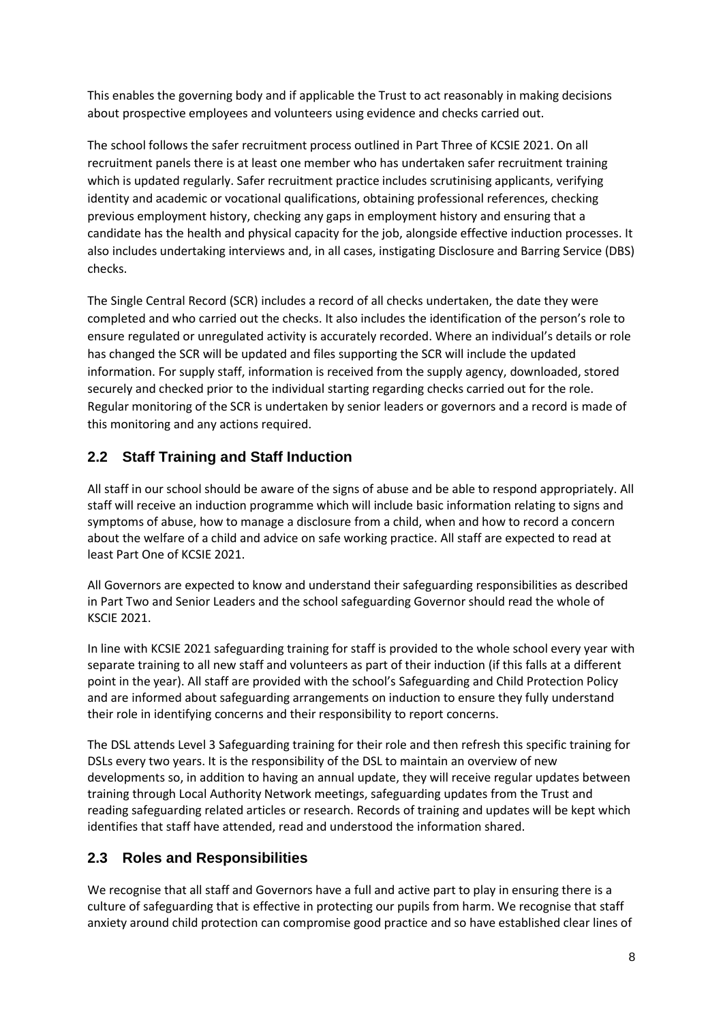This enables the governing body and if applicable the Trust to act reasonably in making decisions about prospective employees and volunteers using evidence and checks carried out.

The school follows the safer recruitment process outlined in Part Three of KCSIE 2021. On all recruitment panels there is at least one member who has undertaken safer recruitment training which is updated regularly. Safer recruitment practice includes scrutinising applicants, verifying identity and academic or vocational qualifications, obtaining professional references, checking previous employment history, checking any gaps in employment history and ensuring that a candidate has the health and physical capacity for the job, alongside effective induction processes. It also includes undertaking interviews and, in all cases, instigating Disclosure and Barring Service (DBS) checks.

The Single Central Record (SCR) includes a record of all checks undertaken, the date they were completed and who carried out the checks. It also includes the identification of the person's role to ensure regulated or unregulated activity is accurately recorded. Where an individual's details or role has changed the SCR will be updated and files supporting the SCR will include the updated information. For supply staff, information is received from the supply agency, downloaded, stored securely and checked prior to the individual starting regarding checks carried out for the role. Regular monitoring of the SCR is undertaken by senior leaders or governors and a record is made of this monitoring and any actions required.

### <span id="page-7-0"></span>**2.2 Staff Training and Staff Induction**

All staff in our school should be aware of the signs of abuse and be able to respond appropriately. All staff will receive an induction programme which will include basic information relating to signs and symptoms of abuse, how to manage a disclosure from a child, when and how to record a concern about the welfare of a child and advice on safe working practice. All staff are expected to read at least Part One of KCSIE 2021.

All Governors are expected to know and understand their safeguarding responsibilities as described in Part Two and Senior Leaders and the school safeguarding Governor should read the whole of KSCIE 2021.

In line with KCSIE 2021 safeguarding training for staff is provided to the whole school every year with separate training to all new staff and volunteers as part of their induction (if this falls at a different point in the year). All staff are provided with the school's Safeguarding and Child Protection Policy and are informed about safeguarding arrangements on induction to ensure they fully understand their role in identifying concerns and their responsibility to report concerns.

The DSL attends Level 3 Safeguarding training for their role and then refresh this specific training for DSLs every two years. It is the responsibility of the DSL to maintain an overview of new developments so, in addition to having an annual update, they will receive regular updates between training through Local Authority Network meetings, safeguarding updates from the Trust and reading safeguarding related articles or research. Records of training and updates will be kept which identifies that staff have attended, read and understood the information shared.

#### <span id="page-7-1"></span>**2.3 Roles and Responsibilities**

We recognise that all staff and Governors have a full and active part to play in ensuring there is a culture of safeguarding that is effective in protecting our pupils from harm. We recognise that staff anxiety around child protection can compromise good practice and so have established clear lines of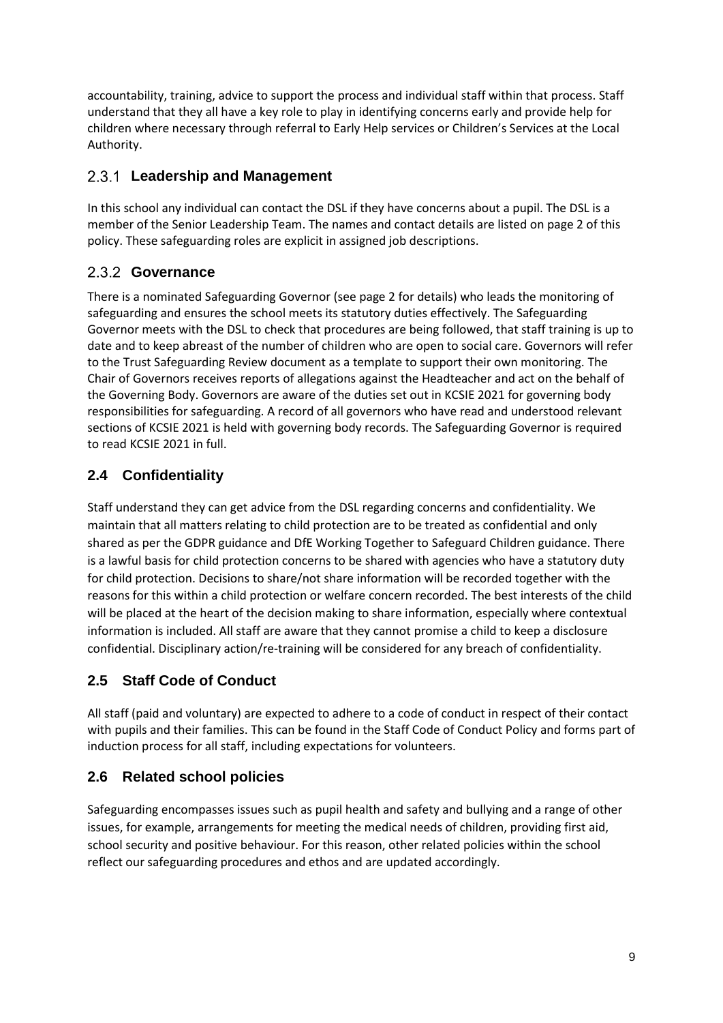accountability, training, advice to support the process and individual staff within that process. Staff understand that they all have a key role to play in identifying concerns early and provide help for children where necessary through referral to Early Help services or Children's Services at the Local Authority.

#### <span id="page-8-0"></span>**Leadership and Management**

In this school any individual can contact the DSL if they have concerns about a pupil. The DSL is a member of the Senior Leadership Team. The names and contact details are listed on page 2 of this policy. These safeguarding roles are explicit in assigned job descriptions.

### <span id="page-8-1"></span>2.3.2 Governance

There is a nominated Safeguarding Governor (see page 2 for details) who leads the monitoring of safeguarding and ensures the school meets its statutory duties effectively. The Safeguarding Governor meets with the DSL to check that procedures are being followed, that staff training is up to date and to keep abreast of the number of children who are open to social care. Governors will refer to the Trust Safeguarding Review document as a template to support their own monitoring. The Chair of Governors receives reports of allegations against the Headteacher and act on the behalf of the Governing Body. Governors are aware of the duties set out in KCSIE 2021 for governing body responsibilities for safeguarding. A record of all governors who have read and understood relevant sections of KCSIE 2021 is held with governing body records. The Safeguarding Governor is required to read KCSIE 2021 in full.

# <span id="page-8-2"></span>**2.4 Confidentiality**

Staff understand they can get advice from the DSL regarding concerns and confidentiality. We maintain that all matters relating to child protection are to be treated as confidential and only shared as per the GDPR guidance and DfE Working Together to Safeguard Children guidance. There is a lawful basis for child protection concerns to be shared with agencies who have a statutory duty for child protection. Decisions to share/not share information will be recorded together with the reasons for this within a child protection or welfare concern recorded. The best interests of the child will be placed at the heart of the decision making to share information, especially where contextual information is included. All staff are aware that they cannot promise a child to keep a disclosure confidential. Disciplinary action/re-training will be considered for any breach of confidentiality.

# <span id="page-8-3"></span>**2.5 Staff Code of Conduct**

All staff (paid and voluntary) are expected to adhere to a code of conduct in respect of their contact with pupils and their families. This can be found in the Staff Code of Conduct Policy and forms part of induction process for all staff, including expectations for volunteers.

#### <span id="page-8-4"></span>**2.6 Related school policies**

Safeguarding encompasses issues such as pupil health and safety and bullying and a range of other issues, for example, arrangements for meeting the medical needs of children, providing first aid, school security and positive behaviour. For this reason, other related policies within the school reflect our safeguarding procedures and ethos and are updated accordingly.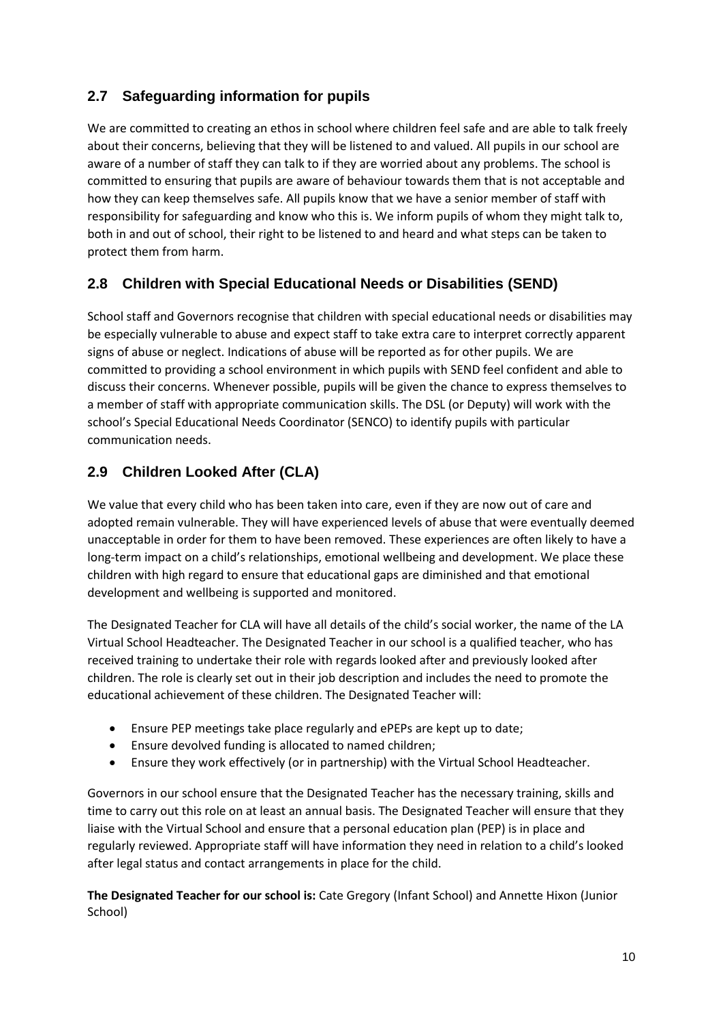#### <span id="page-9-0"></span>**2.7 Safeguarding information for pupils**

We are committed to creating an ethos in school where children feel safe and are able to talk freely about their concerns, believing that they will be listened to and valued. All pupils in our school are aware of a number of staff they can talk to if they are worried about any problems. The school is committed to ensuring that pupils are aware of behaviour towards them that is not acceptable and how they can keep themselves safe. All pupils know that we have a senior member of staff with responsibility for safeguarding and know who this is. We inform pupils of whom they might talk to, both in and out of school, their right to be listened to and heard and what steps can be taken to protect them from harm.

#### <span id="page-9-1"></span>**2.8 Children with Special Educational Needs or Disabilities (SEND)**

School staff and Governors recognise that children with special educational needs or disabilities may be especially vulnerable to abuse and expect staff to take extra care to interpret correctly apparent signs of abuse or neglect. Indications of abuse will be reported as for other pupils. We are committed to providing a school environment in which pupils with SEND feel confident and able to discuss their concerns. Whenever possible, pupils will be given the chance to express themselves to a member of staff with appropriate communication skills. The DSL (or Deputy) will work with the school's Special Educational Needs Coordinator (SENCO) to identify pupils with particular communication needs.

#### <span id="page-9-2"></span>**2.9 Children Looked After (CLA)**

We value that every child who has been taken into care, even if they are now out of care and adopted remain vulnerable. They will have experienced levels of abuse that were eventually deemed unacceptable in order for them to have been removed. These experiences are often likely to have a long-term impact on a child's relationships, emotional wellbeing and development. We place these children with high regard to ensure that educational gaps are diminished and that emotional development and wellbeing is supported and monitored.

The Designated Teacher for CLA will have all details of the child's social worker, the name of the LA Virtual School Headteacher. The Designated Teacher in our school is a qualified teacher, who has received training to undertake their role with regards looked after and previously looked after children. The role is clearly set out in their job description and includes the need to promote the educational achievement of these children. The Designated Teacher will:

- Ensure PEP meetings take place regularly and ePEPs are kept up to date;
- Ensure devolved funding is allocated to named children;
- Ensure they work effectively (or in partnership) with the Virtual School Headteacher.

Governors in our school ensure that the Designated Teacher has the necessary training, skills and time to carry out this role on at least an annual basis. The Designated Teacher will ensure that they liaise with the Virtual School and ensure that a personal education plan (PEP) is in place and regularly reviewed. Appropriate staff will have information they need in relation to a child's looked after legal status and contact arrangements in place for the child.

**The Designated Teacher for our school is:** Cate Gregory (Infant School) and Annette Hixon (Junior School)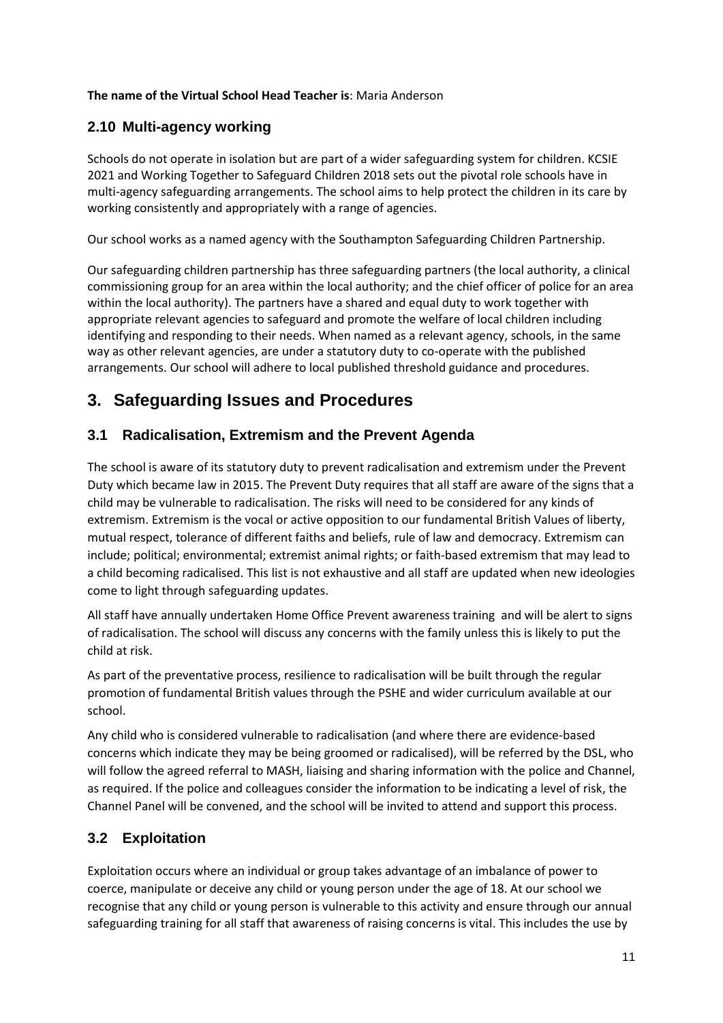#### **The name of the Virtual School Head Teacher is**: Maria Anderson

#### <span id="page-10-0"></span>**2.10 Multi-agency working**

Schools do not operate in isolation but are part of a wider safeguarding system for children. KCSIE 2021 and Working Together to Safeguard Children 2018 sets out the pivotal role schools have in multi-agency safeguarding arrangements. The school aims to help protect the children in its care by working consistently and appropriately with a range of agencies.

Our school works as a named agency with the Southampton Safeguarding Children Partnership.

Our safeguarding children partnership has three safeguarding partners (the local authority, a clinical commissioning group for an area within the local authority; and the chief officer of police for an area within the local authority). The partners have a shared and equal duty to work together with appropriate relevant agencies to safeguard and promote the welfare of local children including identifying and responding to their needs. When named as a relevant agency, schools, in the same way as other relevant agencies, are under a statutory duty to co-operate with the published arrangements. Our school will adhere to local published threshold guidance and procedures.

# <span id="page-10-1"></span>**3. Safeguarding Issues and Procedures**

#### <span id="page-10-2"></span>**3.1 Radicalisation, Extremism and the Prevent Agenda**

The school is aware of its statutory duty to prevent radicalisation and extremism under the Prevent Duty which became law in 2015. The Prevent Duty requires that all staff are aware of the signs that a child may be vulnerable to radicalisation. The risks will need to be considered for any kinds of extremism. Extremism is the vocal or active opposition to our fundamental British Values of liberty, mutual respect, tolerance of different faiths and beliefs, rule of law and democracy. Extremism can include; political; environmental; extremist animal rights; or faith-based extremism that may lead to a child becoming radicalised. This list is not exhaustive and all staff are updated when new ideologies come to light through safeguarding updates.

All staff have annually undertaken Home Office Prevent awareness training and will be alert to signs of radicalisation. The school will discuss any concerns with the family unless this is likely to put the child at risk.

As part of the preventative process, resilience to radicalisation will be built through the regular promotion of fundamental British values through the PSHE and wider curriculum available at our school.

Any child who is considered vulnerable to radicalisation (and where there are evidence-based concerns which indicate they may be being groomed or radicalised), will be referred by the DSL, who will follow the agreed referral to MASH, liaising and sharing information with the police and Channel, as required. If the police and colleagues consider the information to be indicating a level of risk, the Channel Panel will be convened, and the school will be invited to attend and support this process.

#### <span id="page-10-3"></span>**3.2 Exploitation**

Exploitation occurs where an individual or group takes advantage of an imbalance of power to coerce, manipulate or deceive any child or young person under the age of 18. At our school we recognise that any child or young person is vulnerable to this activity and ensure through our annual safeguarding training for all staff that awareness of raising concerns is vital. This includes the use by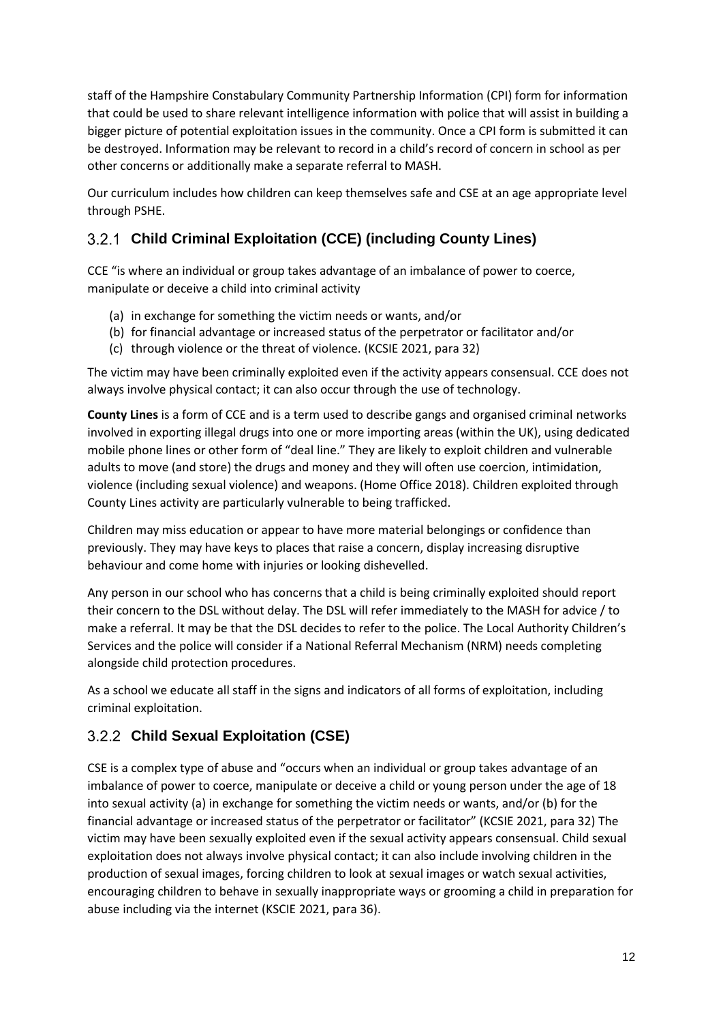staff of the Hampshire Constabulary Community Partnership Information (CPI) form for information that could be used to share relevant intelligence information with police that will assist in building a bigger picture of potential exploitation issues in the community. Once a CPI form is submitted it can be destroyed. Information may be relevant to record in a child's record of concern in school as per other concerns or additionally make a separate referral to MASH.

Our curriculum includes how children can keep themselves safe and CSE at an age appropriate level through PSHE.

# <span id="page-11-0"></span>**Child Criminal Exploitation (CCE) (including County Lines)**

CCE "is where an individual or group takes advantage of an imbalance of power to coerce, manipulate or deceive a child into criminal activity

- (a) in exchange for something the victim needs or wants, and/or
- (b) for financial advantage or increased status of the perpetrator or facilitator and/or
- (c) through violence or the threat of violence. (KCSIE 2021, para 32)

The victim may have been criminally exploited even if the activity appears consensual. CCE does not always involve physical contact; it can also occur through the use of technology.

**County Lines** is a form of CCE and is a term used to describe gangs and organised criminal networks involved in exporting illegal drugs into one or more importing areas (within the UK), using dedicated mobile phone lines or other form of "deal line." They are likely to exploit children and vulnerable adults to move (and store) the drugs and money and they will often use coercion, intimidation, violence (including sexual violence) and weapons. (Home Office 2018). Children exploited through County Lines activity are particularly vulnerable to being trafficked.

Children may miss education or appear to have more material belongings or confidence than previously. They may have keys to places that raise a concern, display increasing disruptive behaviour and come home with injuries or looking dishevelled.

Any person in our school who has concerns that a child is being criminally exploited should report their concern to the DSL without delay. The DSL will refer immediately to the MASH for advice / to make a referral. It may be that the DSL decides to refer to the police. The Local Authority Children's Services and the police will consider if a National Referral Mechanism (NRM) needs completing alongside child protection procedures.

As a school we educate all staff in the signs and indicators of all forms of exploitation, including criminal exploitation.

#### <span id="page-11-1"></span>**Child Sexual Exploitation (CSE)**

CSE is a complex type of abuse and "occurs when an individual or group takes advantage of an imbalance of power to coerce, manipulate or deceive a child or young person under the age of 18 into sexual activity (a) in exchange for something the victim needs or wants, and/or (b) for the financial advantage or increased status of the perpetrator or facilitator" (KCSIE 2021, para 32) The victim may have been sexually exploited even if the sexual activity appears consensual. Child sexual exploitation does not always involve physical contact; it can also include involving children in the production of sexual images, forcing children to look at sexual images or watch sexual activities, encouraging children to behave in sexually inappropriate ways or grooming a child in preparation for abuse including via the internet (KSCIE 2021, para 36).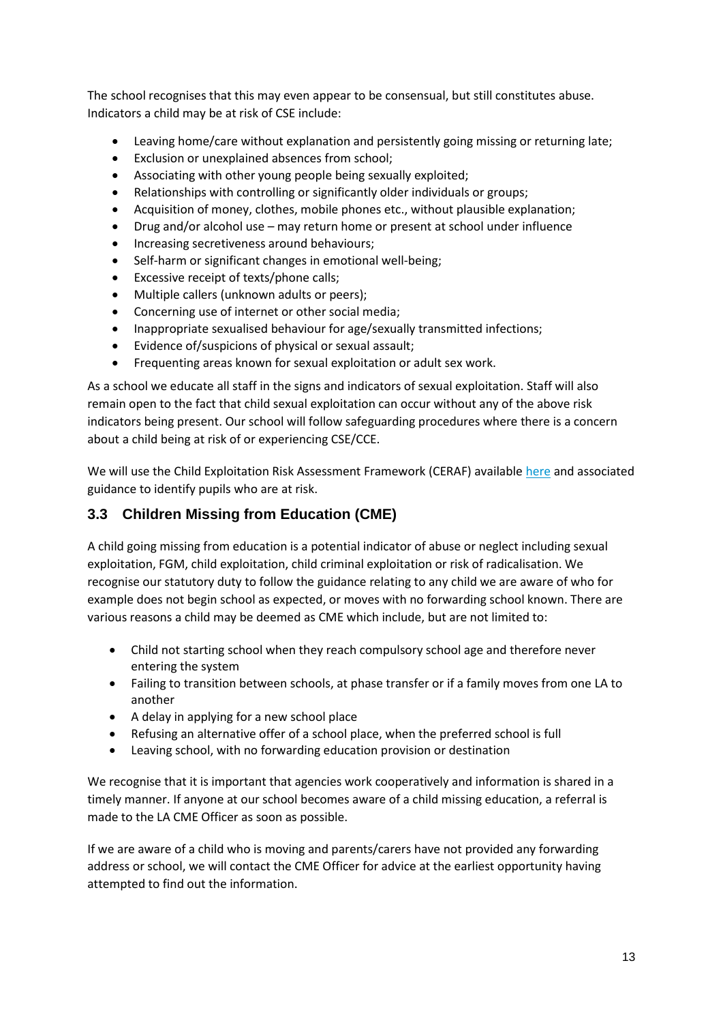The school recognises that this may even appear to be consensual, but still constitutes abuse. Indicators a child may be at risk of CSE include:

- Leaving home/care without explanation and persistently going missing or returning late;
- Exclusion or unexplained absences from school;
- Associating with other young people being sexually exploited;
- Relationships with controlling or significantly older individuals or groups;
- Acquisition of money, clothes, mobile phones etc., without plausible explanation;
- Drug and/or alcohol use may return home or present at school under influence
- Increasing secretiveness around behaviours;
- Self-harm or significant changes in emotional well-being;
- Excessive receipt of texts/phone calls;
- Multiple callers (unknown adults or peers);
- Concerning use of internet or other social media;
- Inappropriate sexualised behaviour for age/sexually transmitted infections;
- Evidence of/suspicions of physical or sexual assault;
- Frequenting areas known for sexual exploitation or adult sex work.

As a school we educate all staff in the signs and indicators of sexual exploitation. Staff will also remain open to the fact that child sexual exploitation can occur without any of the above risk indicators being present. Our school will follow safeguarding procedures where there is a concern about a child being at risk of or experiencing CSE/CCE.

We will use the Child Exploitation Risk Assessment Framework (CERAF) available [here](https://hipsprocedures.org.uk/qkyyoy/children-in-specific-circumstances/children-who-are-exploited/#s4982) and associated guidance to identify pupils who are at risk.

#### <span id="page-12-0"></span>**3.3 Children Missing from Education (CME)**

A child going missing from education is a potential indicator of abuse or neglect including sexual exploitation, FGM, child exploitation, child criminal exploitation or risk of radicalisation. We recognise our statutory duty to follow the guidance relating to any child we are aware of who for example does not begin school as expected, or moves with no forwarding school known. There are various reasons a child may be deemed as CME which include, but are not limited to:

- Child not starting school when they reach compulsory school age and therefore never entering the system
- Failing to transition between schools, at phase transfer or if a family moves from one LA to another
- A delay in applying for a new school place
- Refusing an alternative offer of a school place, when the preferred school is full
- Leaving school, with no forwarding education provision or destination

We recognise that it is important that agencies work cooperatively and information is shared in a timely manner. If anyone at our school becomes aware of a child missing education, a referral is made to the LA CME Officer as soon as possible.

If we are aware of a child who is moving and parents/carers have not provided any forwarding address or school, we will contact the CME Officer for advice at the earliest opportunity having attempted to find out the information.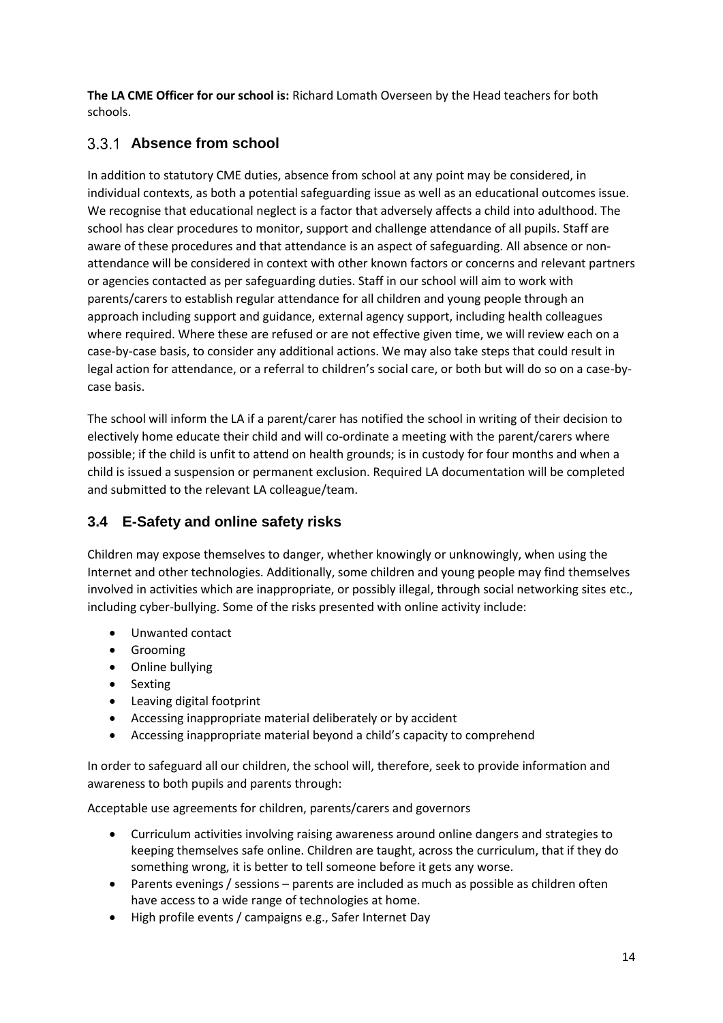**The LA CME Officer for our school is:** Richard Lomath Overseen by the Head teachers for both schools.

#### <span id="page-13-0"></span>**Absence from school**

In addition to statutory CME duties, absence from school at any point may be considered, in individual contexts, as both a potential safeguarding issue as well as an educational outcomes issue. We recognise that educational neglect is a factor that adversely affects a child into adulthood. The school has clear procedures to monitor, support and challenge attendance of all pupils. Staff are aware of these procedures and that attendance is an aspect of safeguarding. All absence or nonattendance will be considered in context with other known factors or concerns and relevant partners or agencies contacted as per safeguarding duties. Staff in our school will aim to work with parents/carers to establish regular attendance for all children and young people through an approach including support and guidance, external agency support, including health colleagues where required. Where these are refused or are not effective given time, we will review each on a case-by-case basis, to consider any additional actions. We may also take steps that could result in legal action for attendance, or a referral to children's social care, or both but will do so on a case-bycase basis.

The school will inform the LA if a parent/carer has notified the school in writing of their decision to electively home educate their child and will co-ordinate a meeting with the parent/carers where possible; if the child is unfit to attend on health grounds; is in custody for four months and when a child is issued a suspension or permanent exclusion. Required LA documentation will be completed and submitted to the relevant LA colleague/team.

#### <span id="page-13-1"></span>**3.4 E-Safety and online safety risks**

Children may expose themselves to danger, whether knowingly or unknowingly, when using the Internet and other technologies. Additionally, some children and young people may find themselves involved in activities which are inappropriate, or possibly illegal, through social networking sites etc., including cyber-bullying. Some of the risks presented with online activity include:

- Unwanted contact
- **•** Grooming
- Online bullying
- Sexting
- Leaving digital footprint
- Accessing inappropriate material deliberately or by accident
- Accessing inappropriate material beyond a child's capacity to comprehend

In order to safeguard all our children, the school will, therefore, seek to provide information and awareness to both pupils and parents through:

Acceptable use agreements for children, parents/carers and governors

- Curriculum activities involving raising awareness around online dangers and strategies to keeping themselves safe online. Children are taught, across the curriculum, that if they do something wrong, it is better to tell someone before it gets any worse.
- Parents evenings / sessions parents are included as much as possible as children often have access to a wide range of technologies at home.
- High profile events / campaigns e.g., Safer Internet Day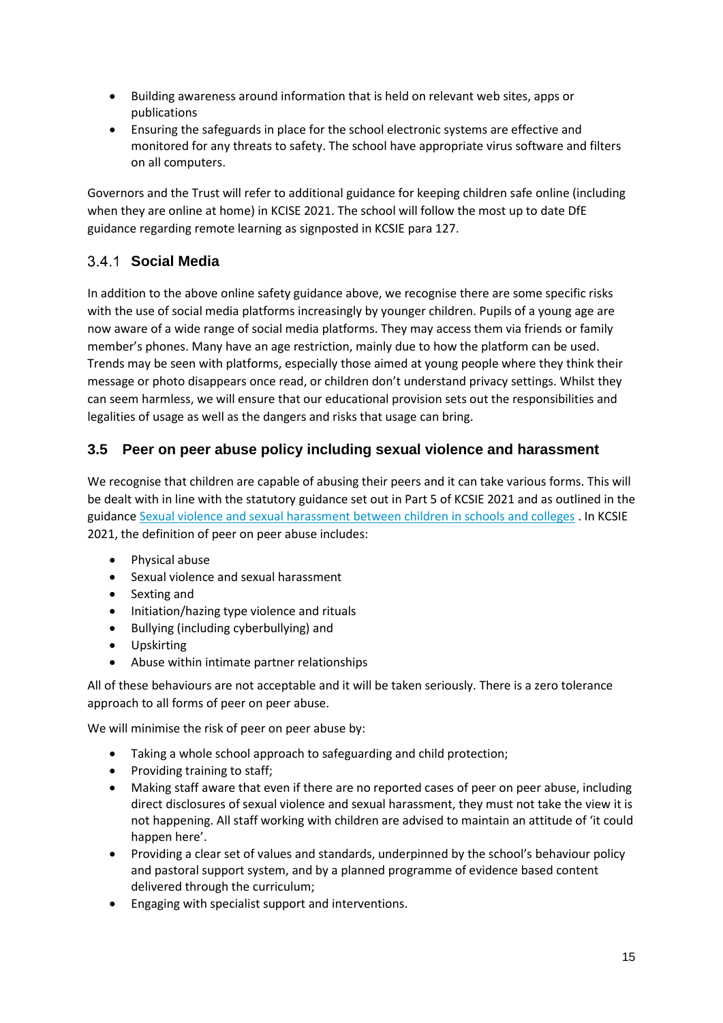- Building awareness around information that is held on relevant web sites, apps or publications
- Ensuring the safeguards in place for the school electronic systems are effective and monitored for any threats to safety. The school have appropriate virus software and filters on all computers.

Governors and the Trust will refer to additional guidance for keeping children safe online (including when they are online at home) in KCISE 2021. The school will follow the most up to date DfE guidance regarding remote learning as signposted in KCSIE para 127.

# <span id="page-14-0"></span>**Social Media**

In addition to the above online safety guidance above, we recognise there are some specific risks with the use of social media platforms increasingly by younger children. Pupils of a young age are now aware of a wide range of social media platforms. They may access them via friends or family member's phones. Many have an age restriction, mainly due to how the platform can be used. Trends may be seen with platforms, especially those aimed at young people where they think their message or photo disappears once read, or children don't understand privacy settings. Whilst they can seem harmless, we will ensure that our educational provision sets out the responsibilities and legalities of usage as well as the dangers and risks that usage can bring.

#### <span id="page-14-1"></span>**3.5 Peer on peer abuse policy including sexual violence and harassment**

We recognise that children are capable of abusing their peers and it can take various forms. This will be dealt with in line with the statutory guidance set out in Part 5 of KCSIE 2021 and as outlined in the guidance Sexual violence and sexual harassment [between children in schools and colleges](https://www.gov.uk/government/publications/sexual-violence-and-sexual-harassment-between-children-in-schools-and-colleges) . In KCSIE 2021, the definition of peer on peer abuse includes:

- Physical abuse
- Sexual violence and sexual harassment
- Sexting and
- Initiation/hazing type violence and rituals
- Bullying (including cyberbullying) and
- Upskirting
- Abuse within intimate partner relationships

All of these behaviours are not acceptable and it will be taken seriously. There is a zero tolerance approach to all forms of peer on peer abuse.

We will minimise the risk of peer on peer abuse by:

- Taking a whole school approach to safeguarding and child protection;
- Providing training to staff;
- Making staff aware that even if there are no reported cases of peer on peer abuse, including direct disclosures of sexual violence and sexual harassment, they must not take the view it is not happening. All staff working with children are advised to maintain an attitude of 'it could happen here'.
- Providing a clear set of values and standards, underpinned by the school's behaviour policy and pastoral support system, and by a planned programme of evidence based content delivered through the curriculum;
- Engaging with specialist support and interventions.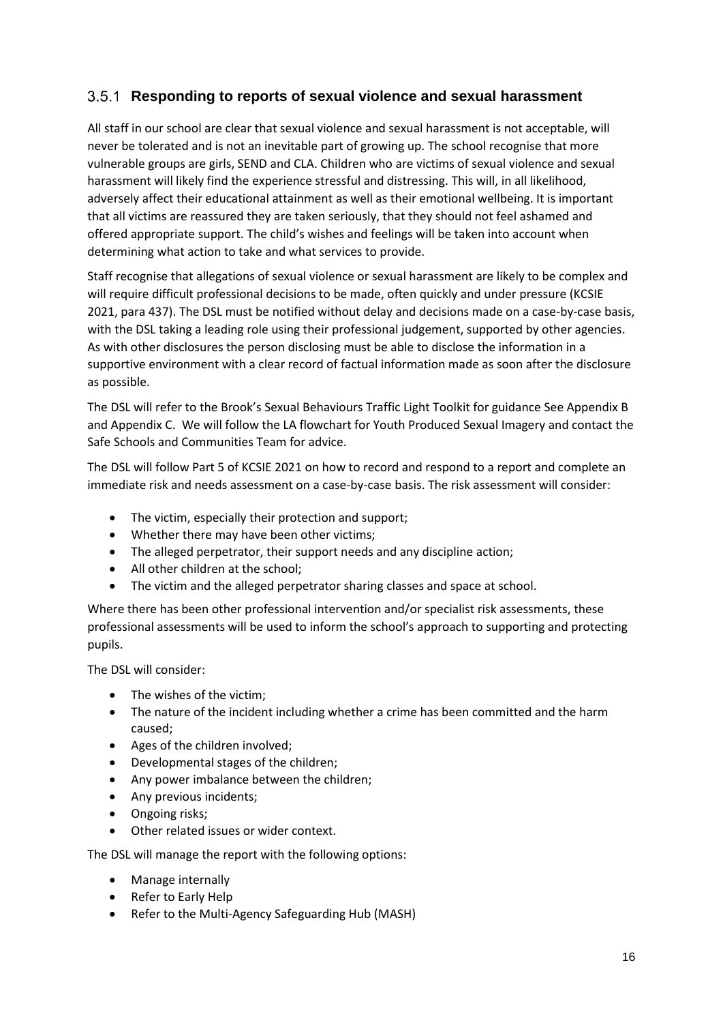#### <span id="page-15-0"></span>**Responding to reports of sexual violence and sexual harassment**

All staff in our school are clear that sexual violence and sexual harassment is not acceptable, will never be tolerated and is not an inevitable part of growing up. The school recognise that more vulnerable groups are girls, SEND and CLA. Children who are victims of sexual violence and sexual harassment will likely find the experience stressful and distressing. This will, in all likelihood, adversely affect their educational attainment as well as their emotional wellbeing. It is important that all victims are reassured they are taken seriously, that they should not feel ashamed and offered appropriate support. The child's wishes and feelings will be taken into account when determining what action to take and what services to provide.

Staff recognise that allegations of sexual violence or sexual harassment are likely to be complex and will require difficult professional decisions to be made, often quickly and under pressure (KCSIE 2021, para 437). The DSL must be notified without delay and decisions made on a case-by-case basis, with the DSL taking a leading role using their professional judgement, supported by other agencies. As with other disclosures the person disclosing must be able to disclose the information in a supportive environment with a clear record of factual information made as soon after the disclosure as possible.

The DSL will refer to the Brook's Sexual Behaviours Traffic Light Toolkit for guidance See Appendix B and Appendix C. We will follow the LA flowchart for Youth Produced Sexual Imagery and contact the Safe Schools and Communities Team for advice.

The DSL will follow Part 5 of KCSIE 2021 on how to record and respond to a report and complete an immediate risk and needs assessment on a case-by-case basis. The risk assessment will consider:

- The victim, especially their protection and support;
- Whether there may have been other victims;
- The alleged perpetrator, their support needs and any discipline action;
- All other children at the school:
- The victim and the alleged perpetrator sharing classes and space at school.

Where there has been other professional intervention and/or specialist risk assessments, these professional assessments will be used to inform the school's approach to supporting and protecting pupils.

The DSL will consider:

- The wishes of the victim;
- The nature of the incident including whether a crime has been committed and the harm caused;
- Ages of the children involved;
- Developmental stages of the children;
- Any power imbalance between the children;
- Any previous incidents;
- Ongoing risks;
- Other related issues or wider context.

The DSL will manage the report with the following options:

- Manage internally
- Refer to Early Help
- Refer to the Multi-Agency Safeguarding Hub (MASH)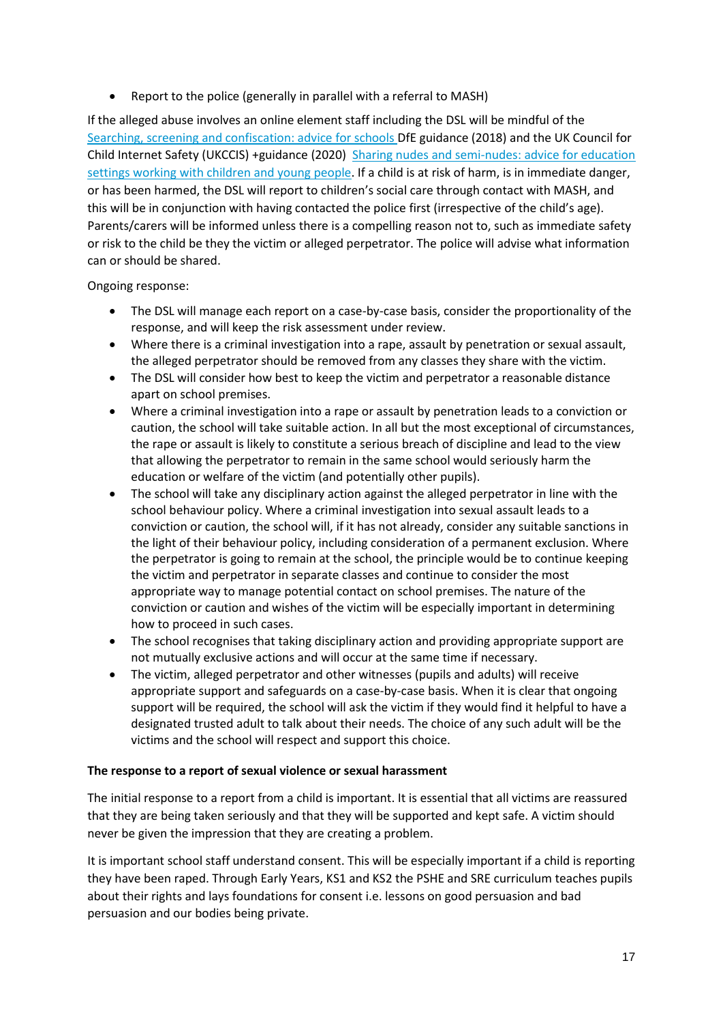• Report to the police (generally in parallel with a referral to MASH)

If the alleged abuse involves an online element staff including the DSL will be mindful of the [Searching, screening and confiscation: advice for schools D](https://www.gov.uk/government/publications/searching-screening-and-confiscation)fE guidance (2018) and the UK Council for Child Internet Safety (UKCCIS) +guidance (2020) [Sharing nudes and semi-nudes: advice for education](hthttps://www.gov.uk/government/publications/sharing-nudes-and-semi-nudes-advice-for-education-settings-working-with-children-and-young-people/sharing-nudes-and-semi-nudes-advice-for-education-settings-working-with-children-and-young-people)  [settings working with children and young people.](hthttps://www.gov.uk/government/publications/sharing-nudes-and-semi-nudes-advice-for-education-settings-working-with-children-and-young-people/sharing-nudes-and-semi-nudes-advice-for-education-settings-working-with-children-and-young-people) If a child is at risk of harm, is in immediate danger, or has been harmed, the DSL will report to children's social care through contact with MASH, and this will be in conjunction with having contacted the police first (irrespective of the child's age). Parents/carers will be informed unless there is a compelling reason not to, such as immediate safety or risk to the child be they the victim or alleged perpetrator. The police will advise what information can or should be shared.

Ongoing response:

- The DSL will manage each report on a case-by-case basis, consider the proportionality of the response, and will keep the risk assessment under review.
- Where there is a criminal investigation into a rape, assault by penetration or sexual assault, the alleged perpetrator should be removed from any classes they share with the victim.
- The DSL will consider how best to keep the victim and perpetrator a reasonable distance apart on school premises.
- Where a criminal investigation into a rape or assault by penetration leads to a conviction or caution, the school will take suitable action. In all but the most exceptional of circumstances, the rape or assault is likely to constitute a serious breach of discipline and lead to the view that allowing the perpetrator to remain in the same school would seriously harm the education or welfare of the victim (and potentially other pupils).
- The school will take any disciplinary action against the alleged perpetrator in line with the school behaviour policy. Where a criminal investigation into sexual assault leads to a conviction or caution, the school will, if it has not already, consider any suitable sanctions in the light of their behaviour policy, including consideration of a permanent exclusion. Where the perpetrator is going to remain at the school, the principle would be to continue keeping the victim and perpetrator in separate classes and continue to consider the most appropriate way to manage potential contact on school premises. The nature of the conviction or caution and wishes of the victim will be especially important in determining how to proceed in such cases.
- The school recognises that taking disciplinary action and providing appropriate support are not mutually exclusive actions and will occur at the same time if necessary.
- The victim, alleged perpetrator and other witnesses (pupils and adults) will receive appropriate support and safeguards on a case-by-case basis. When it is clear that ongoing support will be required, the school will ask the victim if they would find it helpful to have a designated trusted adult to talk about their needs. The choice of any such adult will be the victims and the school will respect and support this choice.

#### **The response to a report of sexual violence or sexual harassment**

The initial response to a report from a child is important. It is essential that all victims are reassured that they are being taken seriously and that they will be supported and kept safe. A victim should never be given the impression that they are creating a problem.

It is important school staff understand consent. This will be especially important if a child is reporting they have been raped. Through Early Years, KS1 and KS2 the PSHE and SRE curriculum teaches pupils about their rights and lays foundations for consent i.e. lessons on good persuasion and bad persuasion and our bodies being private.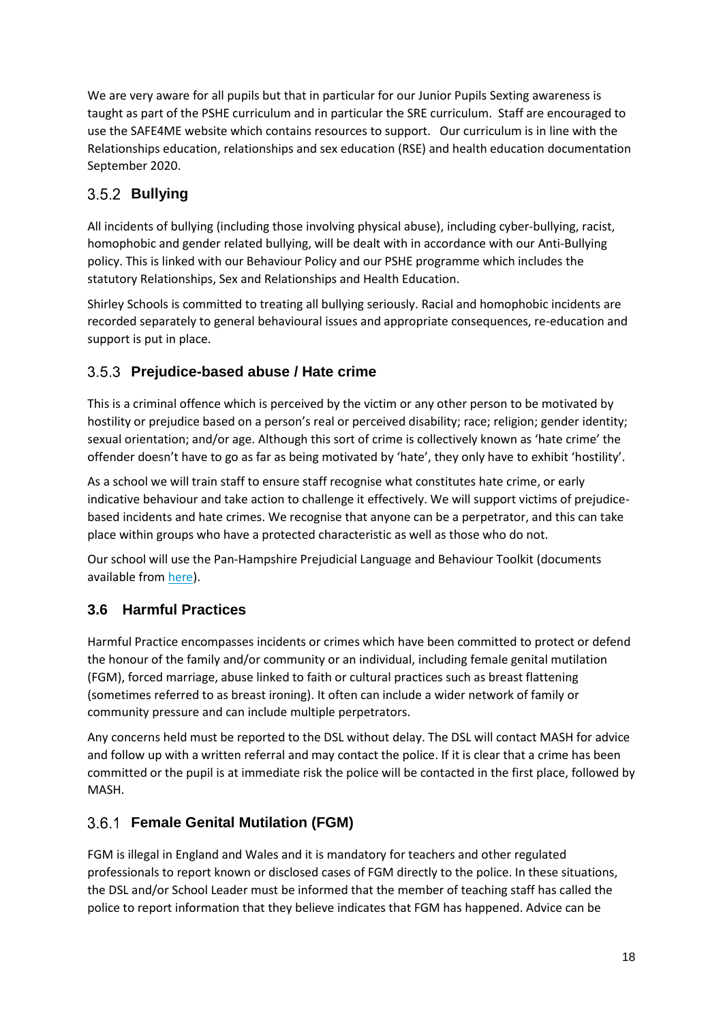We are very aware for all pupils but that in particular for our Junior Pupils Sexting awareness is taught as part of the PSHE curriculum and in particular the SRE curriculum. Staff are encouraged to use the SAFE4ME website which contains resources to support. Our curriculum is in line with the Relationships education, relationships and sex education (RSE) and health education documentation September 2020.

#### <span id="page-17-0"></span>**Bullying**

All incidents of bullying (including those involving physical abuse), including cyber-bullying, racist, homophobic and gender related bullying, will be dealt with in accordance with our Anti-Bullying policy. This is linked with our Behaviour Policy and our PSHE programme which includes the statutory Relationships, Sex and Relationships and Health Education.

Shirley Schools is committed to treating all bullying seriously. Racial and homophobic incidents are recorded separately to general behavioural issues and appropriate consequences, re-education and support is put in place.

#### <span id="page-17-1"></span>**Prejudice-based abuse / Hate crime**

This is a criminal offence which is perceived by the victim or any other person to be motivated by hostility or prejudice based on a person's real or perceived disability; race; religion; gender identity; sexual orientation; and/or age. Although this sort of crime is collectively known as 'hate crime' the offender doesn't have to go as far as being motivated by 'hate', they only have to exhibit 'hostility'.

As a school we will train staff to ensure staff recognise what constitutes hate crime, or early indicative behaviour and take action to challenge it effectively. We will support victims of prejudicebased incidents and hate crimes. We recognise that anyone can be a perpetrator, and this can take place within groups who have a protected characteristic as well as those who do not.

Our school will use the Pan-Hampshire Prejudicial Language and Behaviour Toolkit (documents available from [here\)](https://www.youngsouthampton.org/working-with-children/schools-guidance/sacre/local-advice-guidance.aspx).

#### <span id="page-17-2"></span>**3.6 Harmful Practices**

Harmful Practice encompasses incidents or crimes which have been committed to protect or defend the honour of the family and/or community or an individual, including female genital mutilation (FGM), forced marriage, abuse linked to faith or cultural practices such as breast flattening (sometimes referred to as breast ironing). It often can include a wider network of family or community pressure and can include multiple perpetrators.

Any concerns held must be reported to the DSL without delay. The DSL will contact MASH for advice and follow up with a written referral and may contact the police. If it is clear that a crime has been committed or the pupil is at immediate risk the police will be contacted in the first place, followed by MASH.

#### <span id="page-17-3"></span>**Female Genital Mutilation (FGM)**

FGM is illegal in England and Wales and it is mandatory for teachers and other regulated professionals to report known or disclosed cases of FGM directly to the police. In these situations, the DSL and/or School Leader must be informed that the member of teaching staff has called the police to report information that they believe indicates that FGM has happened. Advice can be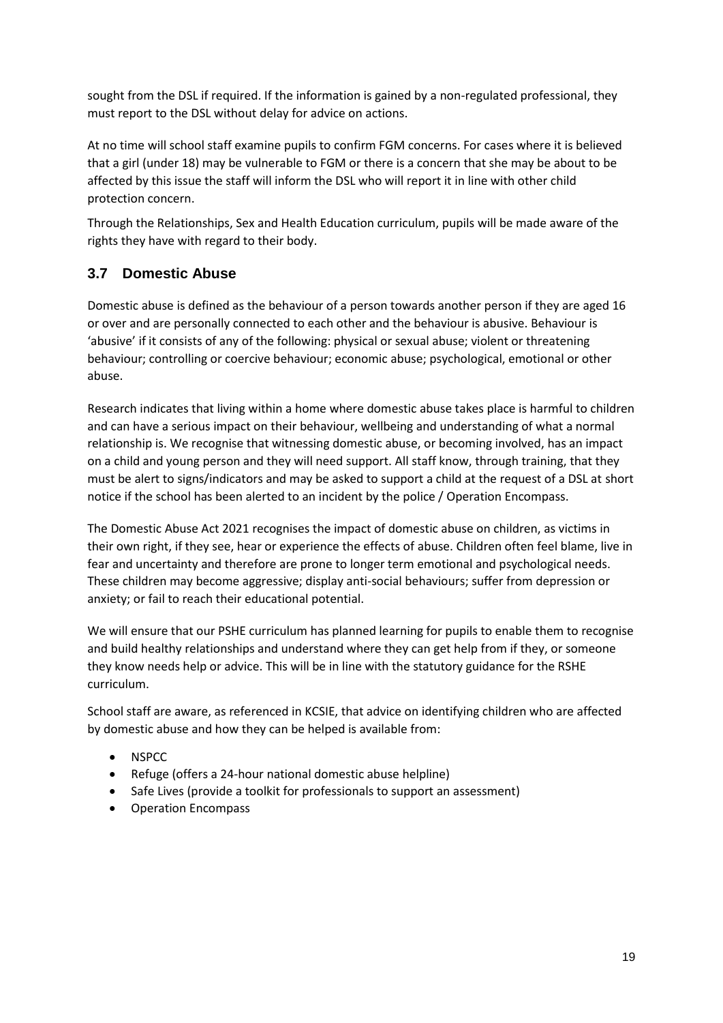sought from the DSL if required. If the information is gained by a non-regulated professional, they must report to the DSL without delay for advice on actions.

At no time will school staff examine pupils to confirm FGM concerns. For cases where it is believed that a girl (under 18) may be vulnerable to FGM or there is a concern that she may be about to be affected by this issue the staff will inform the DSL who will report it in line with other child protection concern.

Through the Relationships, Sex and Health Education curriculum, pupils will be made aware of the rights they have with regard to their body.

#### <span id="page-18-0"></span>**3.7 Domestic Abuse**

Domestic abuse is defined as the behaviour of a person towards another person if they are aged 16 or over and are personally connected to each other and the behaviour is abusive. Behaviour is 'abusive' if it consists of any of the following: physical or sexual abuse; violent or threatening behaviour; controlling or coercive behaviour; economic abuse; psychological, emotional or other abuse.

Research indicates that living within a home where domestic abuse takes place is harmful to children and can have a serious impact on their behaviour, wellbeing and understanding of what a normal relationship is. We recognise that witnessing domestic abuse, or becoming involved, has an impact on a child and young person and they will need support. All staff know, through training, that they must be alert to signs/indicators and may be asked to support a child at the request of a DSL at short notice if the school has been alerted to an incident by the police / Operation Encompass.

The Domestic Abuse Act 2021 recognises the impact of domestic abuse on children, as victims in their own right, if they see, hear or experience the effects of abuse. Children often feel blame, live in fear and uncertainty and therefore are prone to longer term emotional and psychological needs. These children may become aggressive; display anti-social behaviours; suffer from depression or anxiety; or fail to reach their educational potential.

We will ensure that our PSHE curriculum has planned learning for pupils to enable them to recognise and build healthy relationships and understand where they can get help from if they, or someone they know needs help or advice. This will be in line with the statutory guidance for the RSHE curriculum.

School staff are aware, as referenced in KCSIE, that advice on identifying children who are affected by domestic abuse and how they can be helped is available from:

- **NSPCC**
- Refuge (offers a 24-hour national domestic abuse helpline)
- Safe Lives (provide a toolkit for professionals to support an assessment)
- Operation Encompass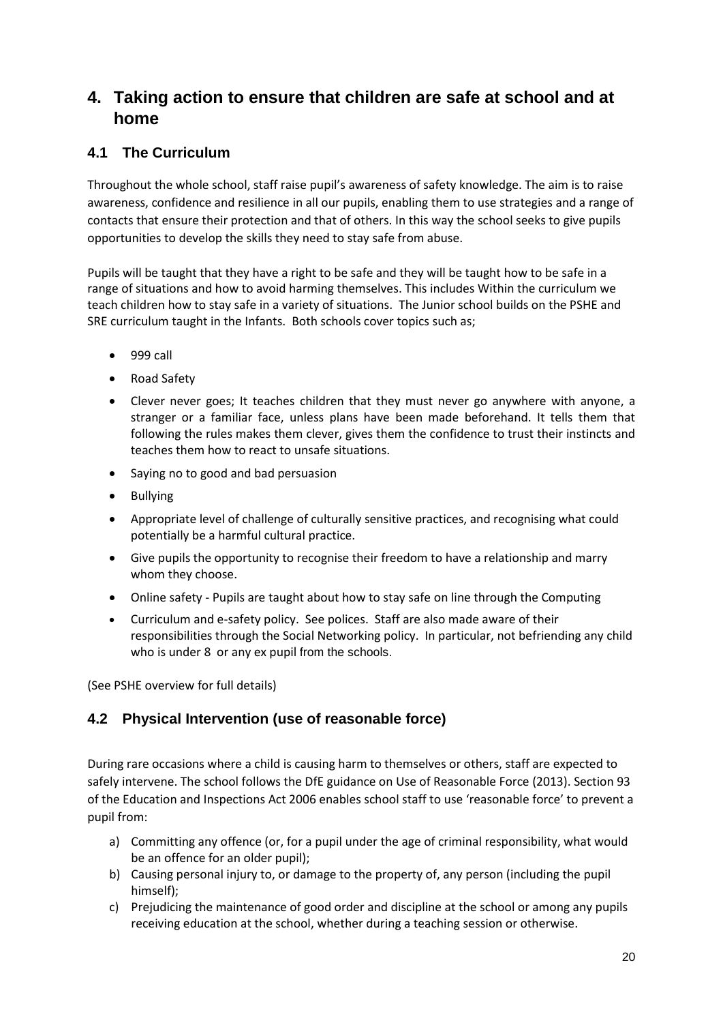# <span id="page-19-0"></span>**4. Taking action to ensure that children are safe at school and at home**

#### <span id="page-19-1"></span>**4.1 The Curriculum**

Throughout the whole school, staff raise pupil's awareness of safety knowledge. The aim is to raise awareness, confidence and resilience in all our pupils, enabling them to use strategies and a range of contacts that ensure their protection and that of others. In this way the school seeks to give pupils opportunities to develop the skills they need to stay safe from abuse.

Pupils will be taught that they have a right to be safe and they will be taught how to be safe in a range of situations and how to avoid harming themselves. This includes Within the curriculum we teach children how to stay safe in a variety of situations. The Junior school builds on the PSHE and SRE curriculum taught in the Infants. Both schools cover topics such as;

- $\bullet$  999 call
- Road Safety
- Clever never goes; It teaches children that they must never go anywhere with anyone, a stranger or a familiar face, unless plans have been made beforehand. It tells them that following the rules makes them clever, gives them the confidence to trust their instincts and teaches them how to react to unsafe situations.
- Saying no to good and bad persuasion
- Bullying
- Appropriate level of challenge of culturally sensitive practices, and recognising what could potentially be a harmful cultural practice.
- Give pupils the opportunity to recognise their freedom to have a relationship and marry whom they choose.
- Online safety Pupils are taught about how to stay safe on line through the Computing
- Curriculum and e-safety policy. See polices. Staff are also made aware of their responsibilities through the Social Networking policy. In particular, not befriending any child who is under 8 or any ex pupil from the schools.

(See PSHE overview for full details)

#### <span id="page-19-2"></span>**4.2 Physical Intervention (use of reasonable force)**

During rare occasions where a child is causing harm to themselves or others, staff are expected to safely intervene. The school follows the DfE guidance on Use of Reasonable Force (2013). Section 93 of the Education and Inspections Act 2006 enables school staff to use 'reasonable force' to prevent a pupil from:

- a) Committing any offence (or, for a pupil under the age of criminal responsibility, what would be an offence for an older pupil);
- b) Causing personal injury to, or damage to the property of, any person (including the pupil himself);
- c) Prejudicing the maintenance of good order and discipline at the school or among any pupils receiving education at the school, whether during a teaching session or otherwise.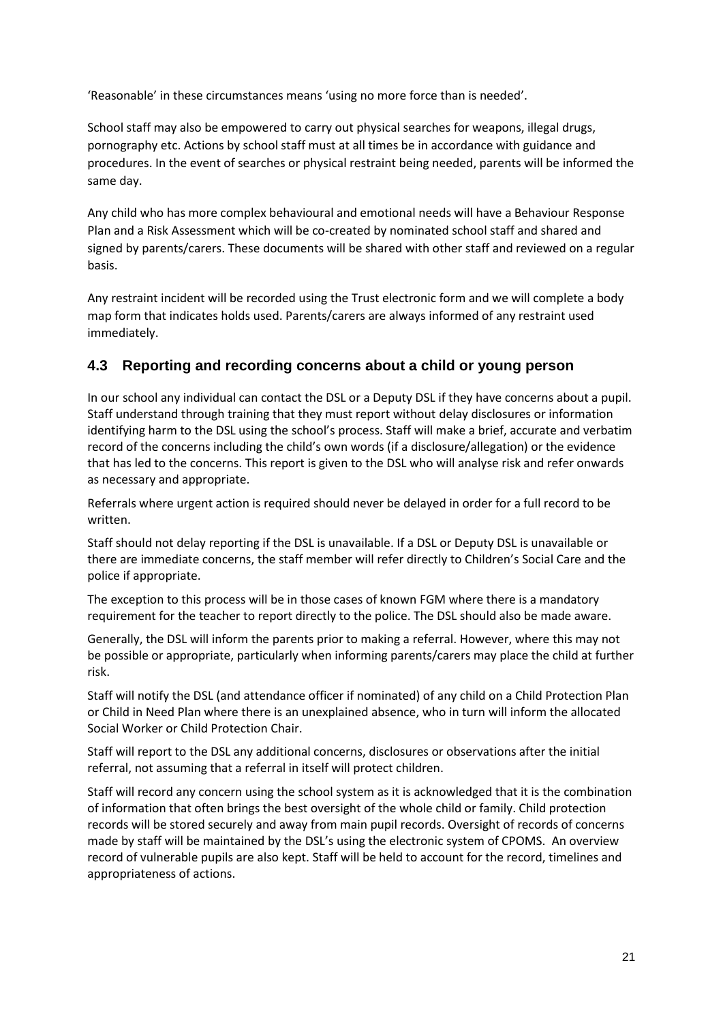'Reasonable' in these circumstances means 'using no more force than is needed'.

School staff may also be empowered to carry out physical searches for weapons, illegal drugs, pornography etc. Actions by school staff must at all times be in accordance with guidance and procedures. In the event of searches or physical restraint being needed, parents will be informed the same day.

Any child who has more complex behavioural and emotional needs will have a Behaviour Response Plan and a Risk Assessment which will be co-created by nominated school staff and shared and signed by parents/carers. These documents will be shared with other staff and reviewed on a regular basis.

Any restraint incident will be recorded using the Trust electronic form and we will complete a body map form that indicates holds used. Parents/carers are always informed of any restraint used immediately.

#### <span id="page-20-0"></span>**4.3 Reporting and recording concerns about a child or young person**

In our school any individual can contact the DSL or a Deputy DSL if they have concerns about a pupil. Staff understand through training that they must report without delay disclosures or information identifying harm to the DSL using the school's process. Staff will make a brief, accurate and verbatim record of the concerns including the child's own words (if a disclosure/allegation) or the evidence that has led to the concerns. This report is given to the DSL who will analyse risk and refer onwards as necessary and appropriate.

Referrals where urgent action is required should never be delayed in order for a full record to be written.

Staff should not delay reporting if the DSL is unavailable. If a DSL or Deputy DSL is unavailable or there are immediate concerns, the staff member will refer directly to Children's Social Care and the police if appropriate.

The exception to this process will be in those cases of known FGM where there is a mandatory requirement for the teacher to report directly to the police. The DSL should also be made aware.

Generally, the DSL will inform the parents prior to making a referral. However, where this may not be possible or appropriate, particularly when informing parents/carers may place the child at further risk.

Staff will notify the DSL (and attendance officer if nominated) of any child on a Child Protection Plan or Child in Need Plan where there is an unexplained absence, who in turn will inform the allocated Social Worker or Child Protection Chair.

Staff will report to the DSL any additional concerns, disclosures or observations after the initial referral, not assuming that a referral in itself will protect children.

Staff will record any concern using the school system as it is acknowledged that it is the combination of information that often brings the best oversight of the whole child or family. Child protection records will be stored securely and away from main pupil records. Oversight of records of concerns made by staff will be maintained by the DSL's using the electronic system of CPOMS. An overview record of vulnerable pupils are also kept. Staff will be held to account for the record, timelines and appropriateness of actions.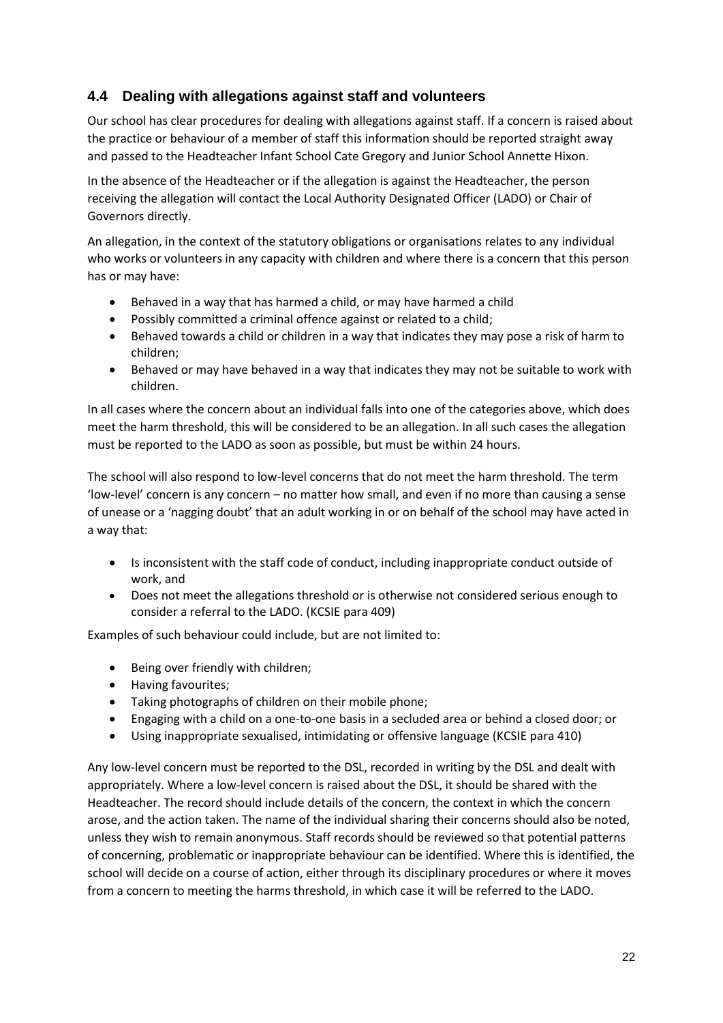#### <span id="page-21-0"></span>**4.4 Dealing with allegations against staff and volunteers**

Our school has clear procedures for dealing with allegations against staff. If a concern is raised about the practice or behaviour of a member of staff this information should be reported straight away and passed to the Headteacher Infant School Cate Gregory and Junior School Annette Hixon.

In the absence of the Headteacher or if the allegation is against the Headteacher, the person receiving the allegation will contact the Local Authority Designated Officer (LADO) or Chair of Governors directly.

An allegation, in the context of the statutory obligations or organisations relates to any individual who works or volunteers in any capacity with children and where there is a concern that this person has or may have:

- Behaved in a way that has harmed a child, or may have harmed a child
- Possibly committed a criminal offence against or related to a child;
- Behaved towards a child or children in a way that indicates they may pose a risk of harm to children;
- Behaved or may have behaved in a way that indicates they may not be suitable to work with children.

In all cases where the concern about an individual falls into one of the categories above, which does meet the harm threshold, this will be considered to be an allegation. In all such cases the allegation must be reported to the LADO as soon as possible, but must be within 24 hours.

The school will also respond to low-level concerns that do not meet the harm threshold. The term 'low-level' concern is any concern – no matter how small, and even if no more than causing a sense of unease or a 'nagging doubt' that an adult working in or on behalf of the school may have acted in a way that:

- Is inconsistent with the staff code of conduct, including inappropriate conduct outside of work, and
- Does not meet the allegations threshold or is otherwise not considered serious enough to consider a referral to the LADO. (KCSIE para 409)

Examples of such behaviour could include, but are not limited to:

- Being over friendly with children;
- Having favourites;
- Taking photographs of children on their mobile phone;
- Engaging with a child on a one-to-one basis in a secluded area or behind a closed door; or
- Using inappropriate sexualised, intimidating or offensive language (KCSIE para 410)

Any low-level concern must be reported to the DSL, recorded in writing by the DSL and dealt with appropriately. Where a low-level concern is raised about the DSL, it should be shared with the Headteacher. The record should include details of the concern, the context in which the concern arose, and the action taken. The name of the individual sharing their concerns should also be noted, unless they wish to remain anonymous. Staff records should be reviewed so that potential patterns of concerning, problematic or inappropriate behaviour can be identified. Where this is identified, the school will decide on a course of action, either through its disciplinary procedures or where it moves from a concern to meeting the harms threshold, in which case it will be referred to the LADO.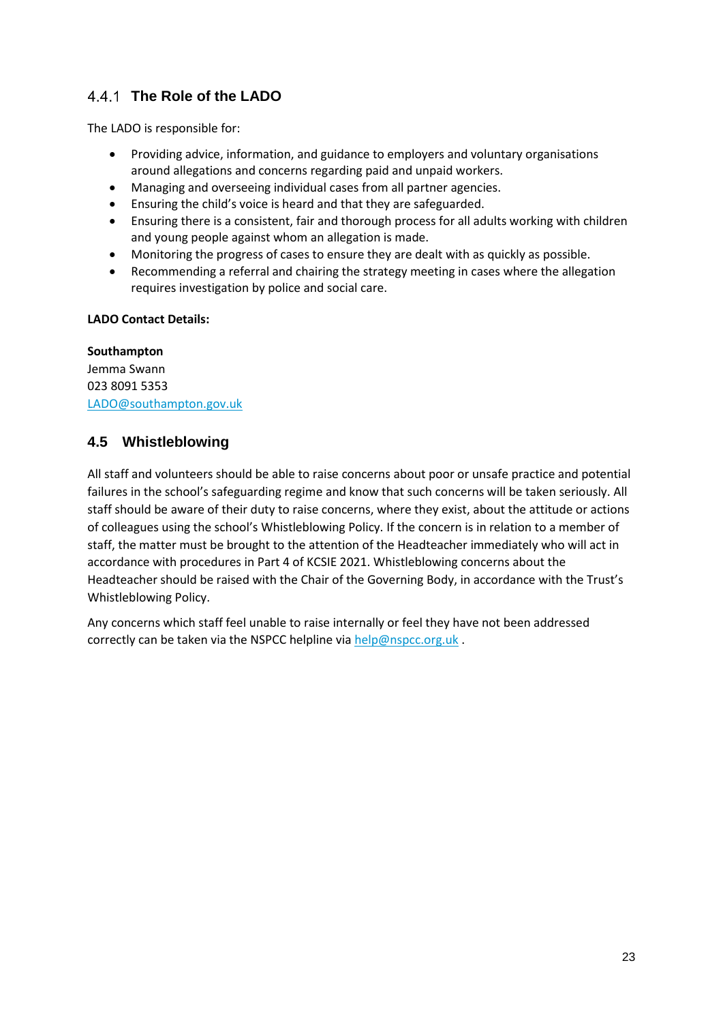### <span id="page-22-0"></span>**The Role of the LADO**

The LADO is responsible for:

- Providing advice, information, and guidance to employers and voluntary organisations around allegations and concerns regarding paid and unpaid workers.
- Managing and overseeing individual cases from all partner agencies.
- Ensuring the child's voice is heard and that they are safeguarded.
- Ensuring there is a consistent, fair and thorough process for all adults working with children and young people against whom an allegation is made.
- Monitoring the progress of cases to ensure they are dealt with as quickly as possible.
- Recommending a referral and chairing the strategy meeting in cases where the allegation requires investigation by police and social care.

#### **LADO Contact Details:**

#### **Southampton**

Jemma Swann 023 8091 5353 [LADO@southampton.gov.uk](mailto:LADO@southampton.gov.uk)

#### <span id="page-22-1"></span>**4.5 Whistleblowing**

All staff and volunteers should be able to raise concerns about poor or unsafe practice and potential failures in the school's safeguarding regime and know that such concerns will be taken seriously. All staff should be aware of their duty to raise concerns, where they exist, about the attitude or actions of colleagues using the school's Whistleblowing Policy. If the concern is in relation to a member of staff, the matter must be brought to the attention of the Headteacher immediately who will act in accordance with procedures in Part 4 of KCSIE 2021. Whistleblowing concerns about the Headteacher should be raised with the Chair of the Governing Body, in accordance with the Trust's Whistleblowing Policy.

Any concerns which staff feel unable to raise internally or feel they have not been addressed correctly can be taken via the NSPCC helpline via [help@nspcc.org.uk](mailto:help@nspcc.org.uk).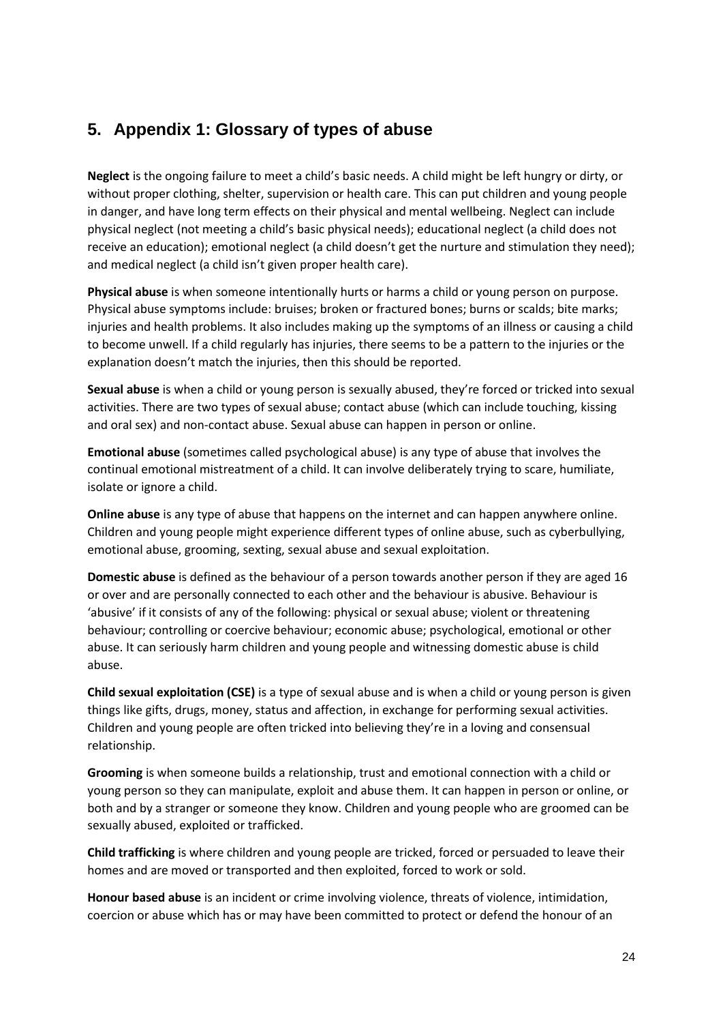# <span id="page-23-0"></span>**5. Appendix 1: Glossary of types of abuse**

**Neglect** is the ongoing failure to meet a child's basic needs. A child might be left hungry or dirty, or without proper clothing, shelter, supervision or health care. This can put children and young people in danger, and have long term effects on their physical and mental wellbeing. Neglect can include physical neglect (not meeting a child's basic physical needs); educational neglect (a child does not receive an education); emotional neglect (a child doesn't get the nurture and stimulation they need); and medical neglect (a child isn't given proper health care).

**Physical abuse** is when someone intentionally hurts or harms a child or young person on purpose. Physical abuse symptoms include: bruises; broken or fractured bones; burns or scalds; bite marks; injuries and health problems. It also includes making up the symptoms of an illness or causing a child to become unwell. If a child regularly has injuries, there seems to be a pattern to the injuries or the explanation doesn't match the injuries, then this should be reported.

**Sexual abuse** is when a child or young person is sexually abused, they're forced or tricked into sexual activities. There are two types of sexual abuse; contact abuse (which can include touching, kissing and oral sex) and non-contact abuse. Sexual abuse can happen in person or online.

**Emotional abuse** (sometimes called psychological abuse) is any type of abuse that involves the continual emotional mistreatment of a child. It can involve deliberately trying to scare, humiliate, isolate or ignore a child.

**Online abuse** is any type of abuse that happens on the internet and can happen anywhere online. Children and young people might experience different types of online abuse, such as cyberbullying, emotional abuse, grooming, sexting, sexual abuse and sexual exploitation.

**Domestic abuse** is defined as the behaviour of a person towards another person if they are aged 16 or over and are personally connected to each other and the behaviour is abusive. Behaviour is 'abusive' if it consists of any of the following: physical or sexual abuse; violent or threatening behaviour; controlling or coercive behaviour; economic abuse; psychological, emotional or other abuse. It can seriously harm children and young people and witnessing domestic abuse is child abuse.

**Child sexual exploitation (CSE)** is a type of sexual abuse and is when a child or young person is given things like gifts, drugs, money, status and affection, in exchange for performing sexual activities. Children and young people are often tricked into believing they're in a loving and consensual relationship.

**Grooming** is when someone builds a relationship, trust and emotional connection with a child or young person so they can manipulate, exploit and abuse them. It can happen in person or online, or both and by a stranger or someone they know. Children and young people who are groomed can be sexually abused, exploited or trafficked.

**Child trafficking** is where children and young people are tricked, forced or persuaded to leave their homes and are moved or transported and then exploited, forced to work or sold.

**Honour based abuse** is an incident or crime involving violence, threats of violence, intimidation, coercion or abuse which has or may have been committed to protect or defend the honour of an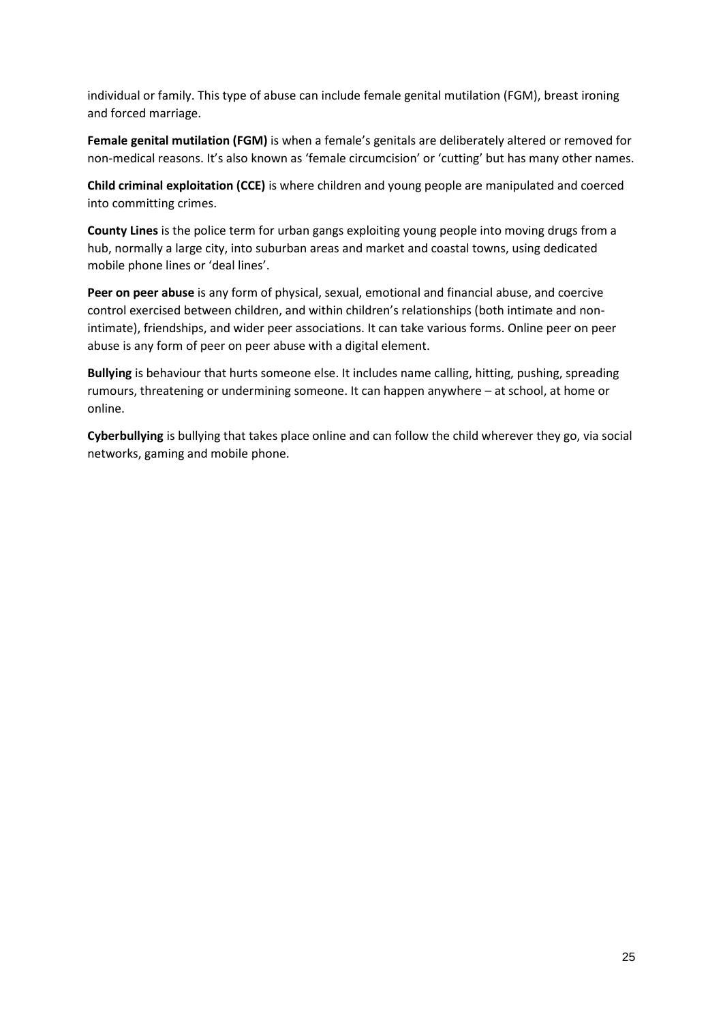individual or family. This type of abuse can include female genital mutilation (FGM), breast ironing and forced marriage.

**Female genital mutilation (FGM)** is when a female's genitals are deliberately altered or removed for non-medical reasons. It's also known as 'female circumcision' or 'cutting' but has many other names.

**Child criminal exploitation (CCE)** is where children and young people are manipulated and coerced into committing crimes.

**County Lines** is the police term for urban gangs exploiting young people into moving drugs from a hub, normally a large city, into suburban areas and market and coastal towns, using dedicated mobile phone lines or 'deal lines'.

**Peer on peer abuse** is any form of physical, sexual, emotional and financial abuse, and coercive control exercised between children, and within children's relationships (both intimate and nonintimate), friendships, and wider peer associations. It can take various forms. Online peer on peer abuse is any form of peer on peer abuse with a digital element.

**Bullying** is behaviour that hurts someone else. It includes name calling, hitting, pushing, spreading rumours, threatening or undermining someone. It can happen anywhere – at school, at home or online.

**Cyberbullying** is bullying that takes place online and can follow the child wherever they go, via social networks, gaming and mobile phone.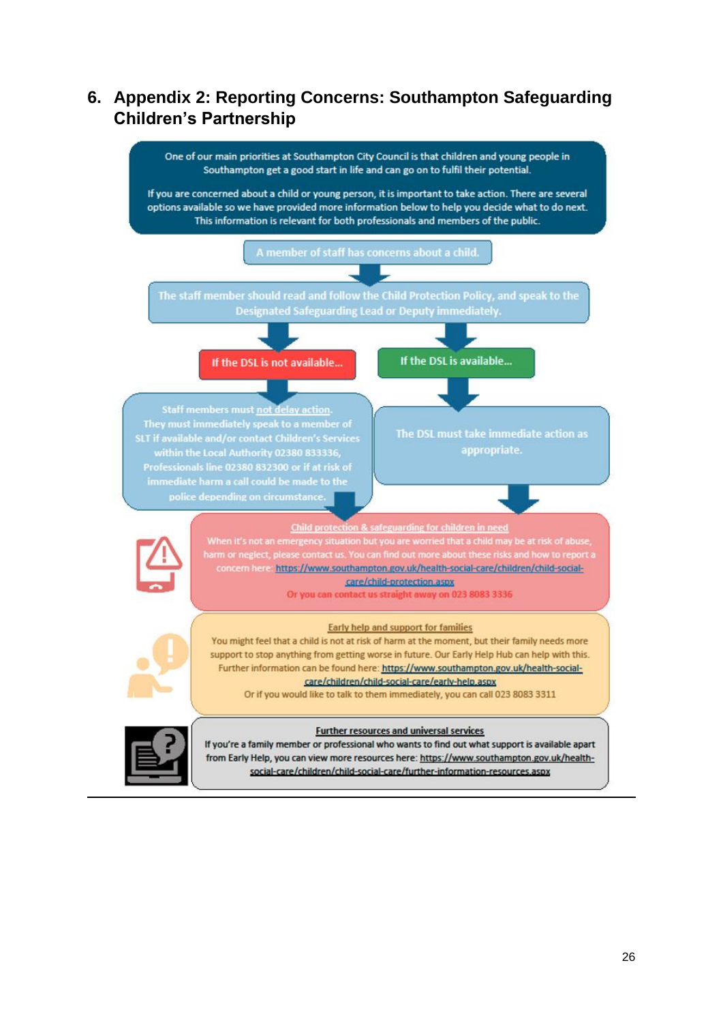# <span id="page-25-0"></span>**6. Appendix 2: Reporting Concerns: Southampton Safeguarding Children's Partnership**

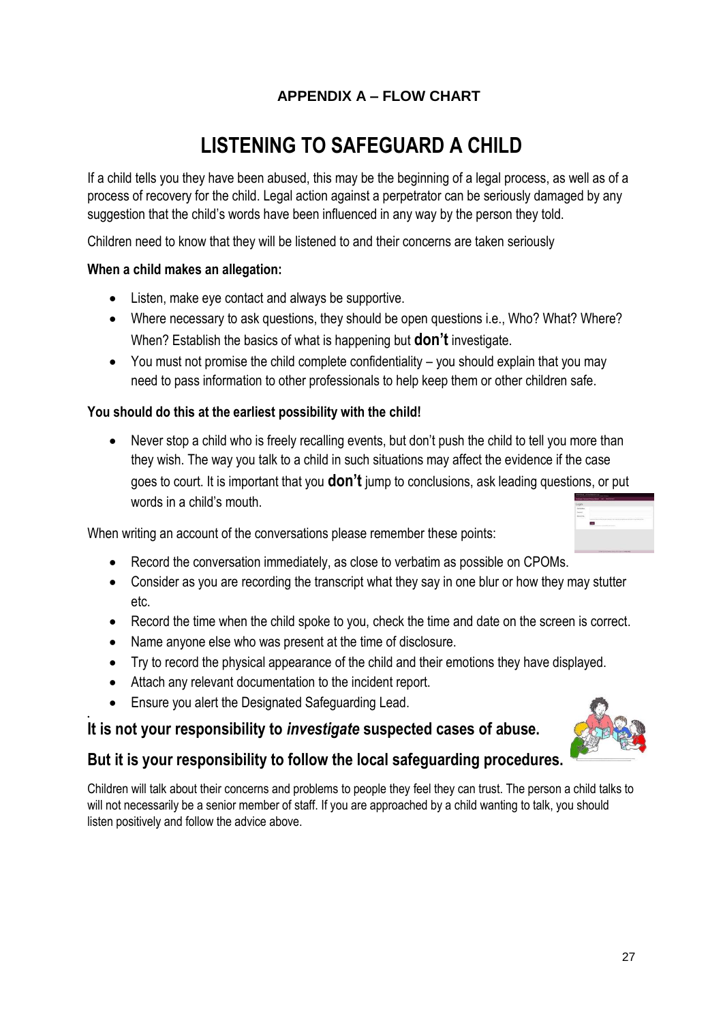# **APPENDIX A – FLOW CHART**

# **LISTENING TO SAFEGUARD A CHILD**

<span id="page-26-0"></span>If a child tells you they have been abused, this may be the beginning of a legal process, as well as of a process of recovery for the child. Legal action against a perpetrator can be seriously damaged by any suggestion that the child's words have been influenced in any way by the person they told.

Children need to know that they will be listened to and their concerns are taken seriously

#### **When a child makes an allegation:**

- Listen, make eye contact and always be supportive.
- Where necessary to ask questions, they should be open questions i.e., Who? What? Where? When? Establish the basics of what is happening but **don't** investigate.
- You must not promise the child complete confidentiality you should explain that you may need to pass information to other professionals to help keep them or other children safe.

#### **You should do this at the earliest possibility with the child!**

• Never stop a child who is freely recalling events, but don't push the child to tell you more than they wish. The way you talk to a child in such situations may affect the evidence if the case goes to court. It is important that you **don't** jump to conclusions, ask leading questions, or put words in a child's mouth.

When writing an account of the conversations please remember these points:

- Record the conversation immediately, as close to verbatim as possible on CPOMs.
- Consider as you are recording the transcript what they say in one blur or how they may stutter etc.
- Record the time when the child spoke to you, check the time and date on the screen is correct.
- Name anyone else who was present at the time of disclosure.
- Try to record the physical appearance of the child and their emotions they have displayed.
- Attach any relevant documentation to the incident report.
- Ensure you alert the Designated Safeguarding Lead.

.

#### **It is not your responsibility to** *investigate* **suspected cases of abuse.**

#### **But it is your responsibility to follow the local safeguarding procedures.**

Children will talk about their concerns and problems to people they feel they can trust. The person a child talks to will not necessarily be a senior member of staff. If you are approached by a child wanting to talk, you should listen positively and follow the advice above.

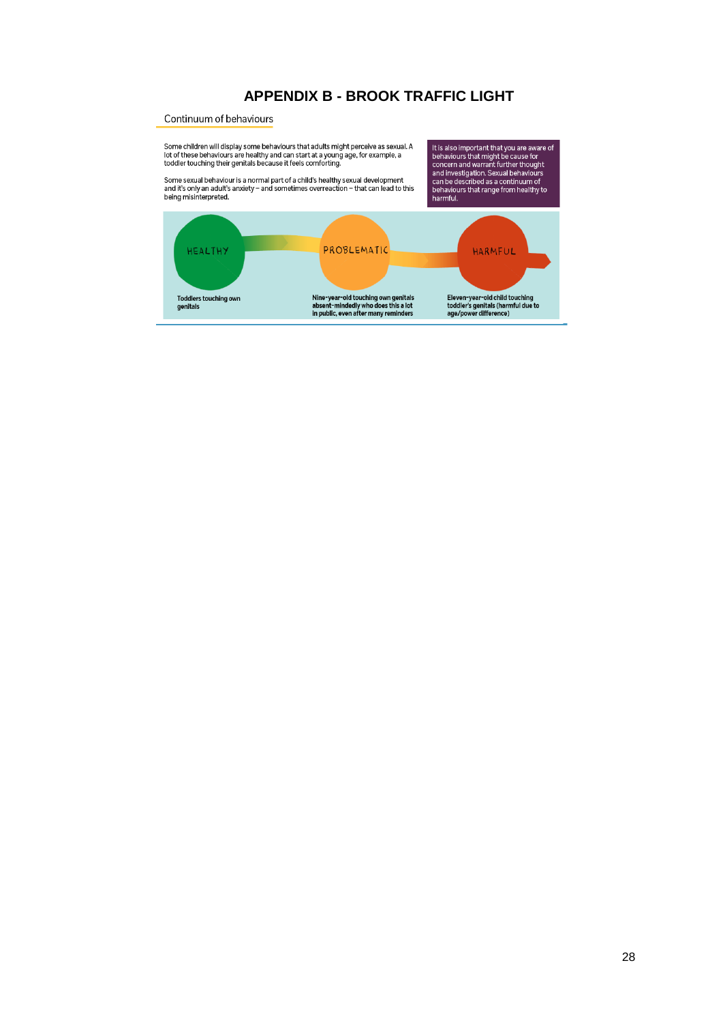#### **APPENDIX B - BROOK TRAFFIC LIGHT**

#### Continuum of behaviours

<span id="page-27-0"></span>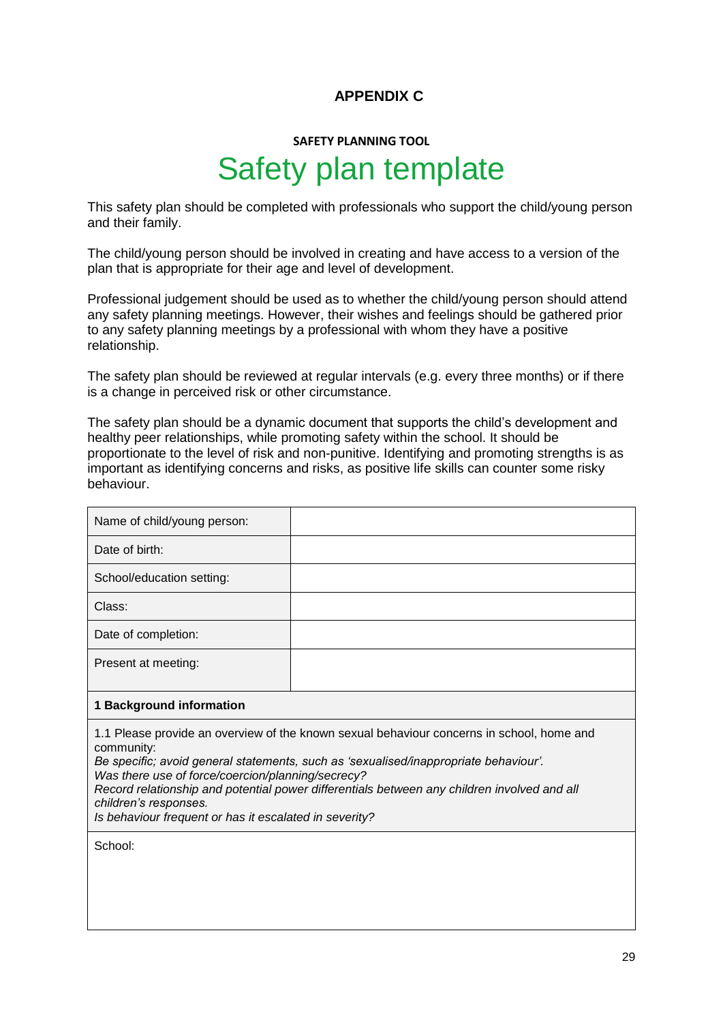#### **APPENDIX C**

# **SAFETY PLANNING TOOL** Safety plan template

<span id="page-28-0"></span>This safety plan should be completed with professionals who support the child/young person and their family.

The child/young person should be involved in creating and have access to a version of the plan that is appropriate for their age and level of development.

Professional judgement should be used as to whether the child/young person should attend any safety planning meetings. However, their wishes and feelings should be gathered prior to any safety planning meetings by a professional with whom they have a positive relationship.

The safety plan should be reviewed at regular intervals (e.g. every three months) or if there is a change in perceived risk or other circumstance.

The safety plan should be a dynamic document that supports the child's development and healthy peer relationships, while promoting safety within the school. It should be proportionate to the level of risk and non-punitive. Identifying and promoting strengths is as important as identifying concerns and risks, as positive life skills can counter some risky behaviour.

| Name of child/young person:                                                                 |  |
|---------------------------------------------------------------------------------------------|--|
| Date of birth:                                                                              |  |
| School/education setting:                                                                   |  |
| Class:                                                                                      |  |
| Date of completion:                                                                         |  |
| Present at meeting:                                                                         |  |
|                                                                                             |  |
| 1 Background information                                                                    |  |
| 1.4 Disease provide an overview of the known covyal behaviour concerns in separal, beme and |  |

1.1 Please provide an overview of the known sexual behaviour concerns in school, home and community:

*Be specific; avoid general statements, such as 'sexualised/inappropriate behaviour'.* 

*Was there use of force/coercion/planning/secrecy?*

*Record relationship and potential power differentials between any children involved and all children's responses.* 

*Is behaviour frequent or has it escalated in severity?* 

School: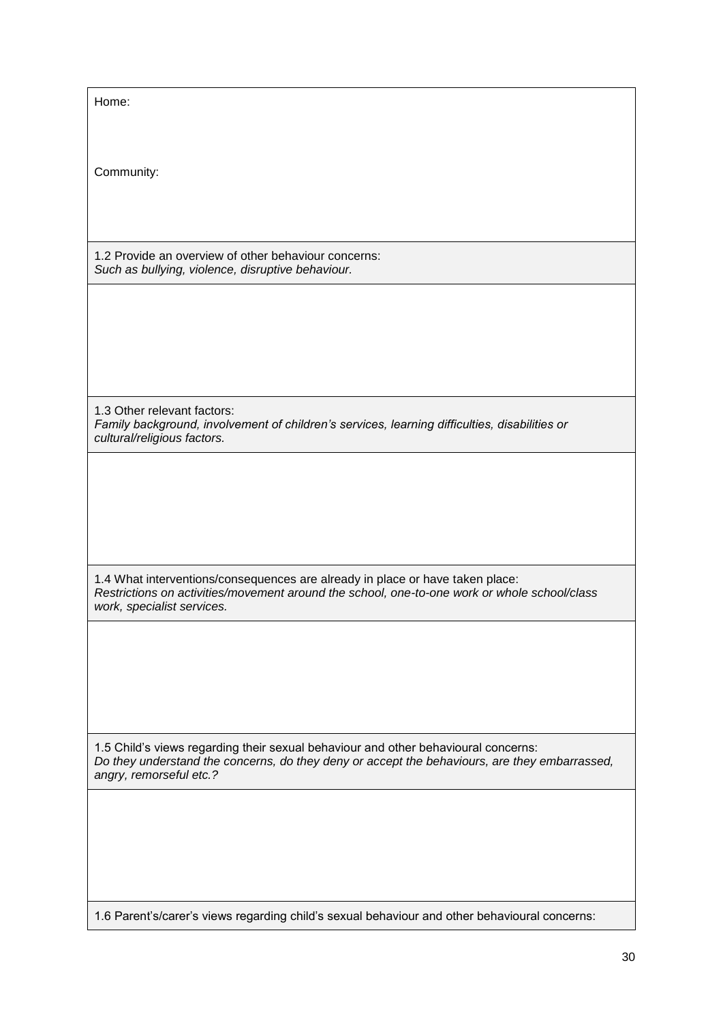| Home:                                                                                                                                                                                                          |
|----------------------------------------------------------------------------------------------------------------------------------------------------------------------------------------------------------------|
| Community:                                                                                                                                                                                                     |
| 1.2 Provide an overview of other behaviour concerns:<br>Such as bullying, violence, disruptive behaviour.                                                                                                      |
|                                                                                                                                                                                                                |
| 1.3 Other relevant factors:<br>Family background, involvement of children's services, learning difficulties, disabilities or<br>cultural/religious factors.                                                    |
|                                                                                                                                                                                                                |
| 1.4 What interventions/consequences are already in place or have taken place:<br>Restrictions on activities/movement around the school, one-to-one work or whole school/class<br>work, specialist services.    |
|                                                                                                                                                                                                                |
| 1.5 Child's views regarding their sexual behaviour and other behavioural concerns:<br>Do they understand the concerns, do they deny or accept the behaviours, are they embarrassed,<br>angry, remorseful etc.? |
|                                                                                                                                                                                                                |
| 1.6 Parent's/carer's views regarding child's sexual behaviour and other behavioural concerns:                                                                                                                  |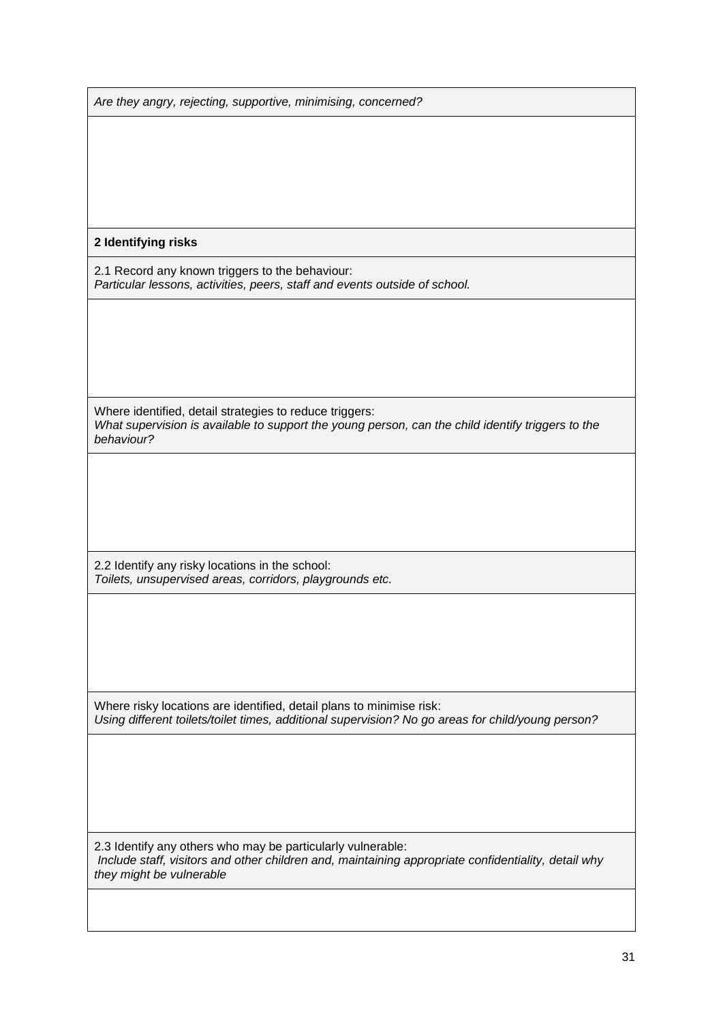| Are they angry, rejecting, supportive, minimising, concerned?                                                                                                      |  |
|--------------------------------------------------------------------------------------------------------------------------------------------------------------------|--|
|                                                                                                                                                                    |  |
|                                                                                                                                                                    |  |
|                                                                                                                                                                    |  |
|                                                                                                                                                                    |  |
| 2 Identifying risks                                                                                                                                                |  |
| 2.1 Record any known triggers to the behaviour:<br>Particular lessons, activities, peers, staff and events outside of school.                                      |  |
|                                                                                                                                                                    |  |
|                                                                                                                                                                    |  |
|                                                                                                                                                                    |  |
| Where identified, detail strategies to reduce triggers:                                                                                                            |  |
| What supervision is available to support the young person, can the child identify triggers to the<br>behaviour?                                                    |  |
|                                                                                                                                                                    |  |
|                                                                                                                                                                    |  |
|                                                                                                                                                                    |  |
| 2.2 Identify any risky locations in the school:                                                                                                                    |  |
| Toilets, unsupervised areas, corridors, playgrounds etc.                                                                                                           |  |
|                                                                                                                                                                    |  |
|                                                                                                                                                                    |  |
|                                                                                                                                                                    |  |
| Where risky locations are identified, detail plans to minimise risk:                                                                                               |  |
| Using different toilets/toilet times, additional supervision? No go areas for child/young person?                                                                  |  |
|                                                                                                                                                                    |  |
|                                                                                                                                                                    |  |
|                                                                                                                                                                    |  |
| 2.3 Identify any others who may be particularly vulnerable:<br>Include staff, visitors and other children and, maintaining appropriate confidentiality, detail why |  |
| they might be vulnerable                                                                                                                                           |  |
|                                                                                                                                                                    |  |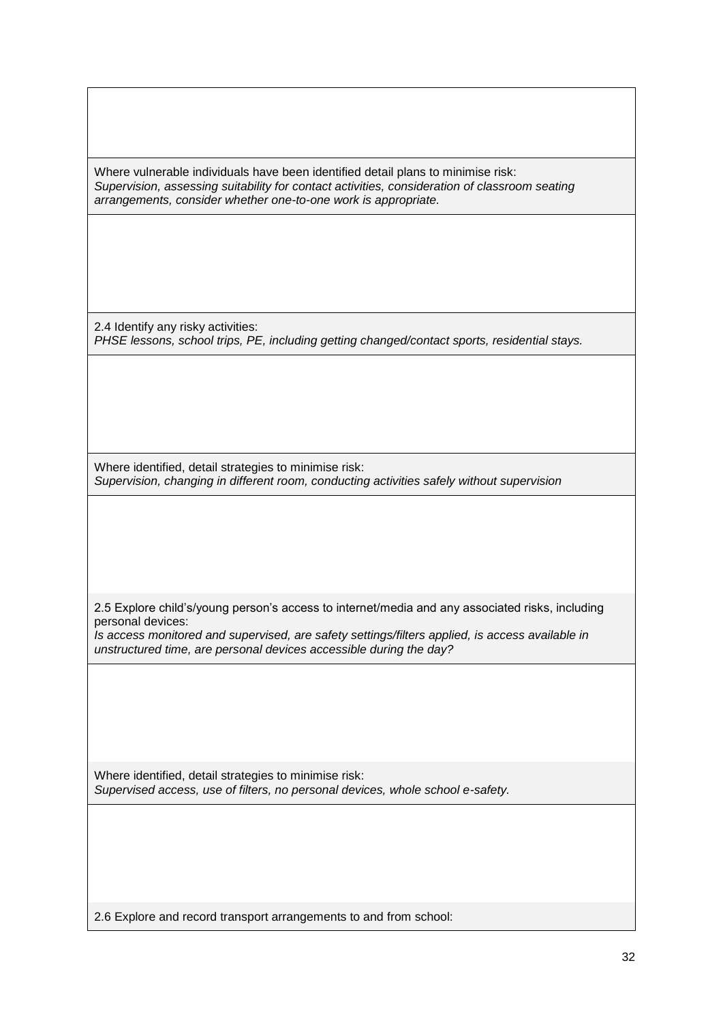Where vulnerable individuals have been identified detail plans to minimise risk: *Supervision, assessing suitability for contact activities, consideration of classroom seating arrangements, consider whether one-to-one work is appropriate.*

2.4 Identify any risky activities: *PHSE lessons, school trips, PE, including getting changed/contact sports, residential stays.*

Where identified, detail strategies to minimise risk: *Supervision, changing in different room, conducting activities safely without supervision*

2.5 Explore child's/young person's access to internet/media and any associated risks, including personal devices:

*Is access monitored and supervised, are safety settings/filters applied, is access available in unstructured time, are personal devices accessible during the day?*

Where identified, detail strategies to minimise risk: *Supervised access, use of filters, no personal devices, whole school e-safety.*

2.6 Explore and record transport arrangements to and from school: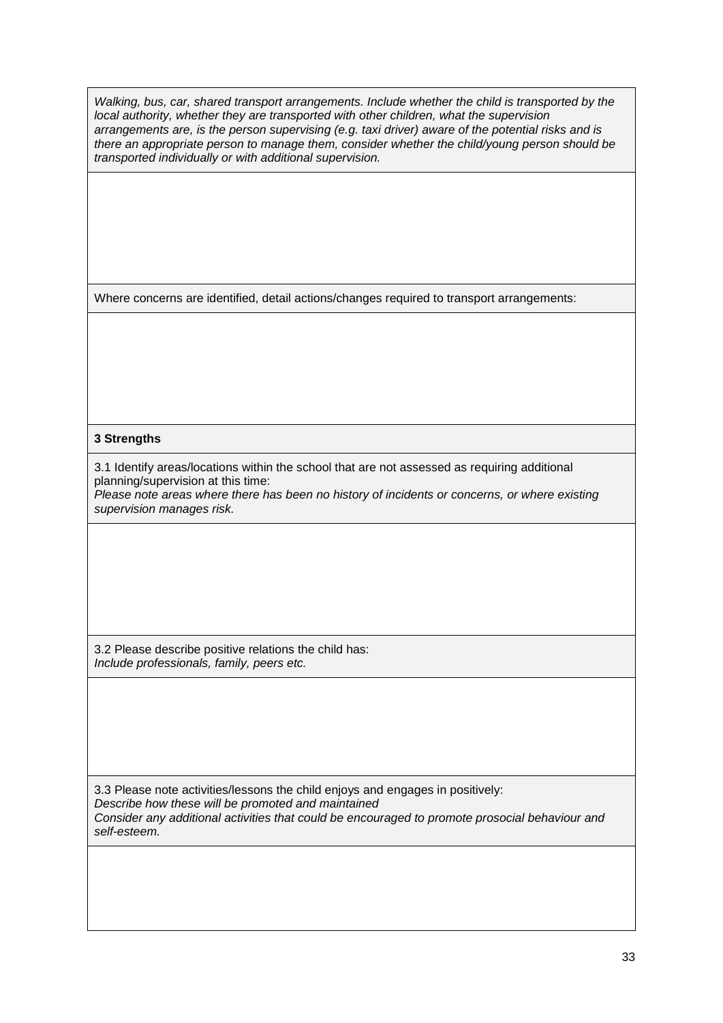*Walking, bus, car, shared transport arrangements. Include whether the child is transported by the local authority, whether they are transported with other children, what the supervision arrangements are, is the person supervising (e.g. taxi driver) aware of the potential risks and is there an appropriate person to manage them, consider whether the child/young person should be transported individually or with additional supervision.*

Where concerns are identified, detail actions/changes required to transport arrangements:

#### **3 Strengths**

3.1 Identify areas/locations within the school that are not assessed as requiring additional planning/supervision at this time:

*Please note areas where there has been no history of incidents or concerns, or where existing supervision manages risk.*

3.2 Please describe positive relations the child has: *Include professionals, family, peers etc.* 

3.3 Please note activities/lessons the child enjoys and engages in positively: *Describe how these will be promoted and maintained Consider any additional activities that could be encouraged to promote prosocial behaviour and self-esteem.*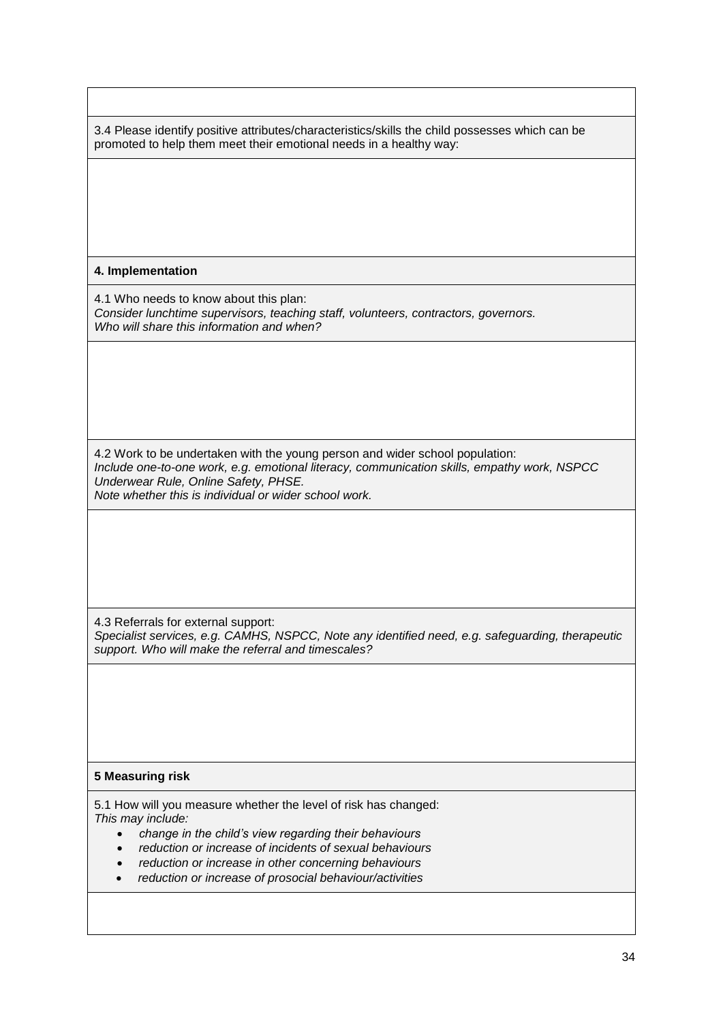3.4 Please identify positive attributes/characteristics/skills the child possesses which can be promoted to help them meet their emotional needs in a healthy way:

#### **4. Implementation**

4.1 Who needs to know about this plan: *Consider lunchtime supervisors, teaching staff, volunteers, contractors, governors. Who will share this information and when?*

4.2 Work to be undertaken with the young person and wider school population: *Include one-to-one work, e.g. emotional literacy, communication skills, empathy work, NSPCC Underwear Rule, Online Safety, PHSE. Note whether this is individual or wider school work.*

4.3 Referrals for external support: *Specialist services, e.g. CAMHS, NSPCC, Note any identified need, e.g. safeguarding, therapeutic support. Who will make the referral and timescales?*

#### **5 Measuring risk**

5.1 How will you measure whether the level of risk has changed: *This may include:*

- *change in the child's view regarding their behaviours*
- *reduction or increase of incidents of sexual behaviours*
- *reduction or increase in other concerning behaviours*
- *reduction or increase of prosocial behaviour/activities*